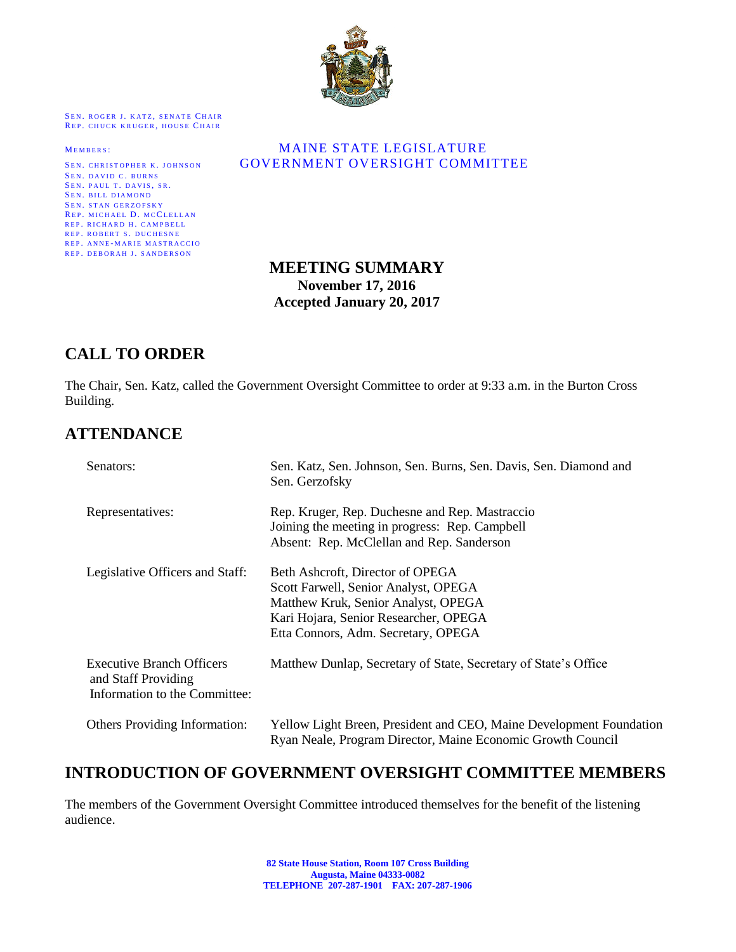

SEN. ROGER J. KATZ, SENATE CHAIR REP. CHUCK KRUGER, HOUSE CHAIR

SEN. DAVID C. BURNS SEN. PAUL T. DAVIS, SR. SEN. BILL DIAMOND SEN. STAN GERZOFSKY REP. MICHAEL D. MCCLELLAN REP. RICHARD H. CAMPBELL REP. ROBERT S. DUCHESNE REP. ANNE-MARIE MASTRACCIO REP. DEBORAH J. SANDERSON

#### MEMBERS: MAINE STATE LEGISLATURE SEN. CHRISTOPHER K. JOHNSON **GOVERNMENT OVERSIGHT COMMITTEE**

#### **MEETING SUMMARY November 17, 2016 Accepted January 20, 2017**

#### **CALL TO ORDER**

The Chair, Sen. Katz, called the Government Oversight Committee to order at 9:33 a.m. in the Burton Cross Building.

#### **ATTENDANCE**

| Senators:                                                                                | Sen. Katz, Sen. Johnson, Sen. Burns, Sen. Davis, Sen. Diamond and<br>Sen. Gerzofsky                                                                                                             |
|------------------------------------------------------------------------------------------|-------------------------------------------------------------------------------------------------------------------------------------------------------------------------------------------------|
| Representatives:                                                                         | Rep. Kruger, Rep. Duchesne and Rep. Mastraccio<br>Joining the meeting in progress: Rep. Campbell<br>Absent: Rep. McClellan and Rep. Sanderson                                                   |
| Legislative Officers and Staff:                                                          | Beth Ashcroft, Director of OPEGA<br>Scott Farwell, Senior Analyst, OPEGA<br>Matthew Kruk, Senior Analyst, OPEGA<br>Kari Hojara, Senior Researcher, OPEGA<br>Etta Connors, Adm. Secretary, OPEGA |
| <b>Executive Branch Officers</b><br>and Staff Providing<br>Information to the Committee: | Matthew Dunlap, Secretary of State, Secretary of State's Office                                                                                                                                 |
| <b>Others Providing Information:</b>                                                     | Yellow Light Breen, President and CEO, Maine Development Foundation<br>Ryan Neale, Program Director, Maine Economic Growth Council                                                              |

#### **INTRODUCTION OF GOVERNMENT OVERSIGHT COMMITTEE MEMBERS**

The members of the Government Oversight Committee introduced themselves for the benefit of the listening audience.

> **82 State House Station, Room 107 Cross Building Augusta, Maine 04333-0082 TELEPHONE 207-287-1901 FAX: 207-287-1906**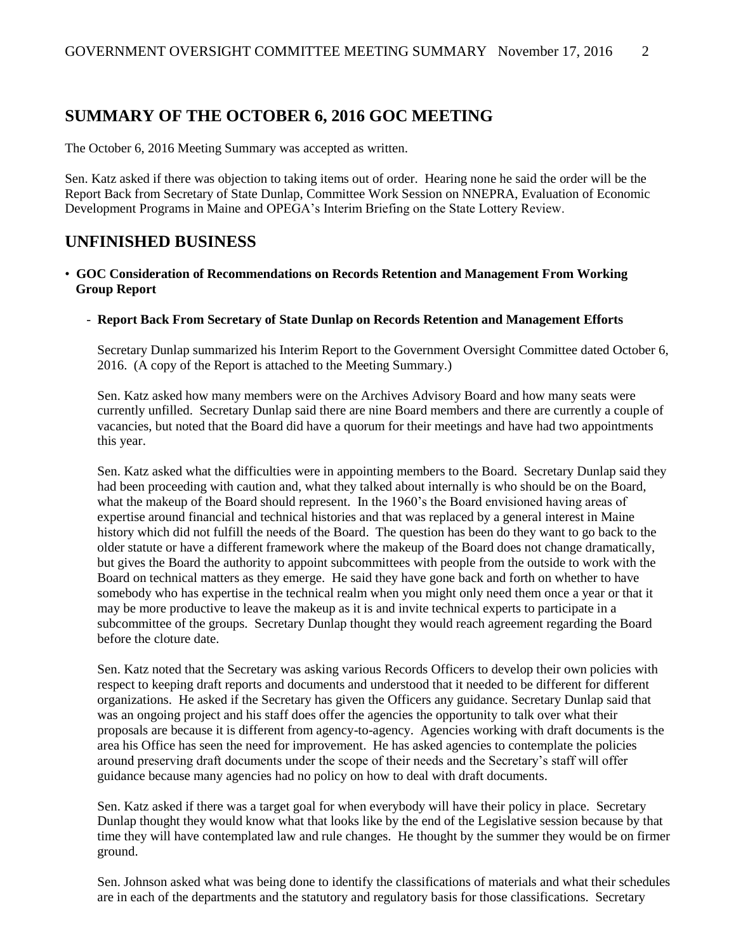#### **SUMMARY OF THE OCTOBER 6, 2016 GOC MEETING**

The October 6, 2016 Meeting Summary was accepted as written.

Sen. Katz asked if there was objection to taking items out of order. Hearing none he said the order will be the Report Back from Secretary of State Dunlap, Committee Work Session on NNEPRA, Evaluation of Economic Development Programs in Maine and OPEGA's Interim Briefing on the State Lottery Review.

#### **UNFINISHED BUSINESS**

#### • **GOC Consideration of Recommendations on Records Retention and Management From Working Group Report**

#### - **Report Back From Secretary of State Dunlap on Records Retention and Management Efforts**

Secretary Dunlap summarized his Interim Report to the Government Oversight Committee dated October 6, 2016. (A copy of the Report is attached to the Meeting Summary.)

Sen. Katz asked how many members were on the Archives Advisory Board and how many seats were currently unfilled. Secretary Dunlap said there are nine Board members and there are currently a couple of vacancies, but noted that the Board did have a quorum for their meetings and have had two appointments this year.

Sen. Katz asked what the difficulties were in appointing members to the Board. Secretary Dunlap said they had been proceeding with caution and, what they talked about internally is who should be on the Board, what the makeup of the Board should represent. In the 1960's the Board envisioned having areas of expertise around financial and technical histories and that was replaced by a general interest in Maine history which did not fulfill the needs of the Board. The question has been do they want to go back to the older statute or have a different framework where the makeup of the Board does not change dramatically, but gives the Board the authority to appoint subcommittees with people from the outside to work with the Board on technical matters as they emerge. He said they have gone back and forth on whether to have somebody who has expertise in the technical realm when you might only need them once a year or that it may be more productive to leave the makeup as it is and invite technical experts to participate in a subcommittee of the groups. Secretary Dunlap thought they would reach agreement regarding the Board before the cloture date.

Sen. Katz noted that the Secretary was asking various Records Officers to develop their own policies with respect to keeping draft reports and documents and understood that it needed to be different for different organizations. He asked if the Secretary has given the Officers any guidance. Secretary Dunlap said that was an ongoing project and his staff does offer the agencies the opportunity to talk over what their proposals are because it is different from agency-to-agency. Agencies working with draft documents is the area his Office has seen the need for improvement. He has asked agencies to contemplate the policies around preserving draft documents under the scope of their needs and the Secretary's staff will offer guidance because many agencies had no policy on how to deal with draft documents.

Sen. Katz asked if there was a target goal for when everybody will have their policy in place. Secretary Dunlap thought they would know what that looks like by the end of the Legislative session because by that time they will have contemplated law and rule changes. He thought by the summer they would be on firmer ground.

Sen. Johnson asked what was being done to identify the classifications of materials and what their schedules are in each of the departments and the statutory and regulatory basis for those classifications. Secretary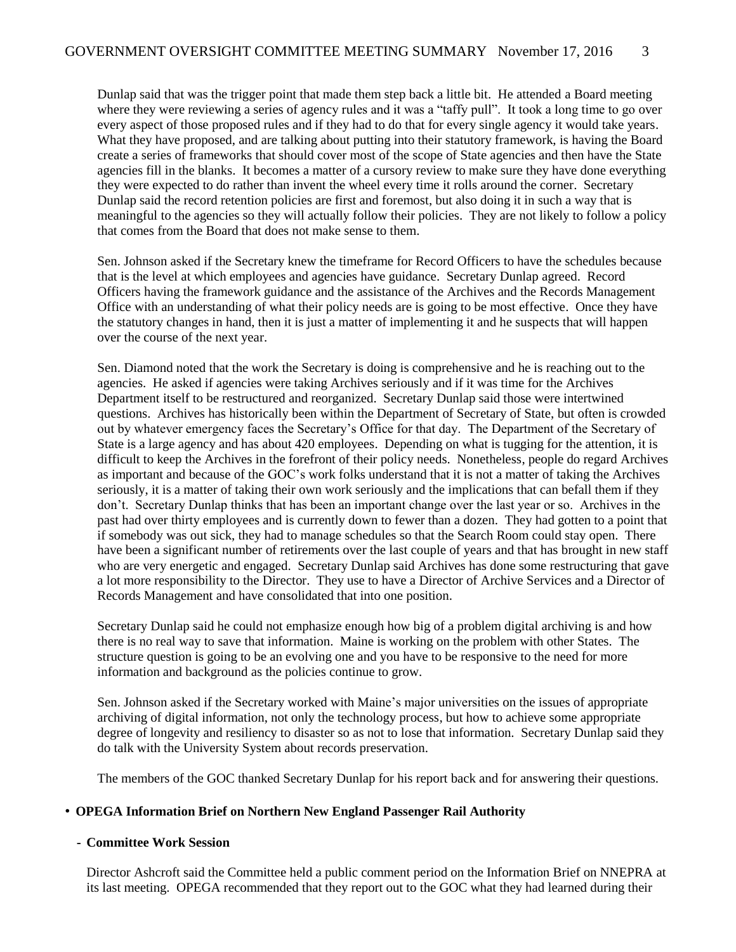Dunlap said that was the trigger point that made them step back a little bit. He attended a Board meeting where they were reviewing a series of agency rules and it was a "taffy pull". It took a long time to go over every aspect of those proposed rules and if they had to do that for every single agency it would take years. What they have proposed, and are talking about putting into their statutory framework, is having the Board create a series of frameworks that should cover most of the scope of State agencies and then have the State agencies fill in the blanks. It becomes a matter of a cursory review to make sure they have done everything they were expected to do rather than invent the wheel every time it rolls around the corner. Secretary Dunlap said the record retention policies are first and foremost, but also doing it in such a way that is meaningful to the agencies so they will actually follow their policies. They are not likely to follow a policy that comes from the Board that does not make sense to them.

Sen. Johnson asked if the Secretary knew the timeframe for Record Officers to have the schedules because that is the level at which employees and agencies have guidance. Secretary Dunlap agreed. Record Officers having the framework guidance and the assistance of the Archives and the Records Management Office with an understanding of what their policy needs are is going to be most effective. Once they have the statutory changes in hand, then it is just a matter of implementing it and he suspects that will happen over the course of the next year.

Sen. Diamond noted that the work the Secretary is doing is comprehensive and he is reaching out to the agencies. He asked if agencies were taking Archives seriously and if it was time for the Archives Department itself to be restructured and reorganized. Secretary Dunlap said those were intertwined questions. Archives has historically been within the Department of Secretary of State, but often is crowded out by whatever emergency faces the Secretary's Office for that day. The Department of the Secretary of State is a large agency and has about 420 employees. Depending on what is tugging for the attention, it is difficult to keep the Archives in the forefront of their policy needs. Nonetheless, people do regard Archives as important and because of the GOC's work folks understand that it is not a matter of taking the Archives seriously, it is a matter of taking their own work seriously and the implications that can befall them if they don't. Secretary Dunlap thinks that has been an important change over the last year or so. Archives in the past had over thirty employees and is currently down to fewer than a dozen. They had gotten to a point that if somebody was out sick, they had to manage schedules so that the Search Room could stay open. There have been a significant number of retirements over the last couple of years and that has brought in new staff who are very energetic and engaged. Secretary Dunlap said Archives has done some restructuring that gave a lot more responsibility to the Director. They use to have a Director of Archive Services and a Director of Records Management and have consolidated that into one position.

Secretary Dunlap said he could not emphasize enough how big of a problem digital archiving is and how there is no real way to save that information. Maine is working on the problem with other States. The structure question is going to be an evolving one and you have to be responsive to the need for more information and background as the policies continue to grow.

Sen. Johnson asked if the Secretary worked with Maine's major universities on the issues of appropriate archiving of digital information, not only the technology process, but how to achieve some appropriate degree of longevity and resiliency to disaster so as not to lose that information. Secretary Dunlap said they do talk with the University System about records preservation.

The members of the GOC thanked Secretary Dunlap for his report back and for answering their questions.

#### • **OPEGA Information Brief on Northern New England Passenger Rail Authority**

#### **- Committee Work Session**

Director Ashcroft said the Committee held a public comment period on the Information Brief on NNEPRA at its last meeting. OPEGA recommended that they report out to the GOC what they had learned during their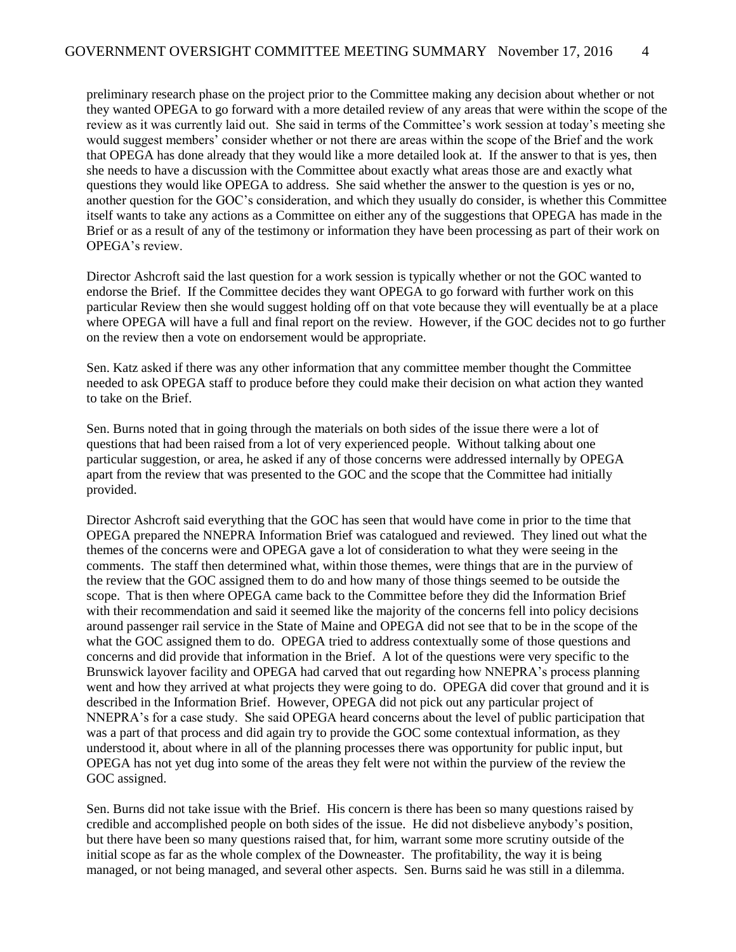preliminary research phase on the project prior to the Committee making any decision about whether or not they wanted OPEGA to go forward with a more detailed review of any areas that were within the scope of the review as it was currently laid out. She said in terms of the Committee's work session at today's meeting she would suggest members' consider whether or not there are areas within the scope of the Brief and the work that OPEGA has done already that they would like a more detailed look at. If the answer to that is yes, then she needs to have a discussion with the Committee about exactly what areas those are and exactly what questions they would like OPEGA to address. She said whether the answer to the question is yes or no, another question for the GOC's consideration, and which they usually do consider, is whether this Committee itself wants to take any actions as a Committee on either any of the suggestions that OPEGA has made in the Brief or as a result of any of the testimony or information they have been processing as part of their work on OPEGA's review.

Director Ashcroft said the last question for a work session is typically whether or not the GOC wanted to endorse the Brief. If the Committee decides they want OPEGA to go forward with further work on this particular Review then she would suggest holding off on that vote because they will eventually be at a place where OPEGA will have a full and final report on the review. However, if the GOC decides not to go further on the review then a vote on endorsement would be appropriate.

Sen. Katz asked if there was any other information that any committee member thought the Committee needed to ask OPEGA staff to produce before they could make their decision on what action they wanted to take on the Brief.

Sen. Burns noted that in going through the materials on both sides of the issue there were a lot of questions that had been raised from a lot of very experienced people. Without talking about one particular suggestion, or area, he asked if any of those concerns were addressed internally by OPEGA apart from the review that was presented to the GOC and the scope that the Committee had initially provided.

Director Ashcroft said everything that the GOC has seen that would have come in prior to the time that OPEGA prepared the NNEPRA Information Brief was catalogued and reviewed. They lined out what the themes of the concerns were and OPEGA gave a lot of consideration to what they were seeing in the comments. The staff then determined what, within those themes, were things that are in the purview of the review that the GOC assigned them to do and how many of those things seemed to be outside the scope. That is then where OPEGA came back to the Committee before they did the Information Brief with their recommendation and said it seemed like the majority of the concerns fell into policy decisions around passenger rail service in the State of Maine and OPEGA did not see that to be in the scope of the what the GOC assigned them to do. OPEGA tried to address contextually some of those questions and concerns and did provide that information in the Brief. A lot of the questions were very specific to the Brunswick layover facility and OPEGA had carved that out regarding how NNEPRA's process planning went and how they arrived at what projects they were going to do. OPEGA did cover that ground and it is described in the Information Brief. However, OPEGA did not pick out any particular project of NNEPRA's for a case study. She said OPEGA heard concerns about the level of public participation that was a part of that process and did again try to provide the GOC some contextual information, as they understood it, about where in all of the planning processes there was opportunity for public input, but OPEGA has not yet dug into some of the areas they felt were not within the purview of the review the GOC assigned.

Sen. Burns did not take issue with the Brief. His concern is there has been so many questions raised by credible and accomplished people on both sides of the issue. He did not disbelieve anybody's position, but there have been so many questions raised that, for him, warrant some more scrutiny outside of the initial scope as far as the whole complex of the Downeaster. The profitability, the way it is being managed, or not being managed, and several other aspects. Sen. Burns said he was still in a dilemma.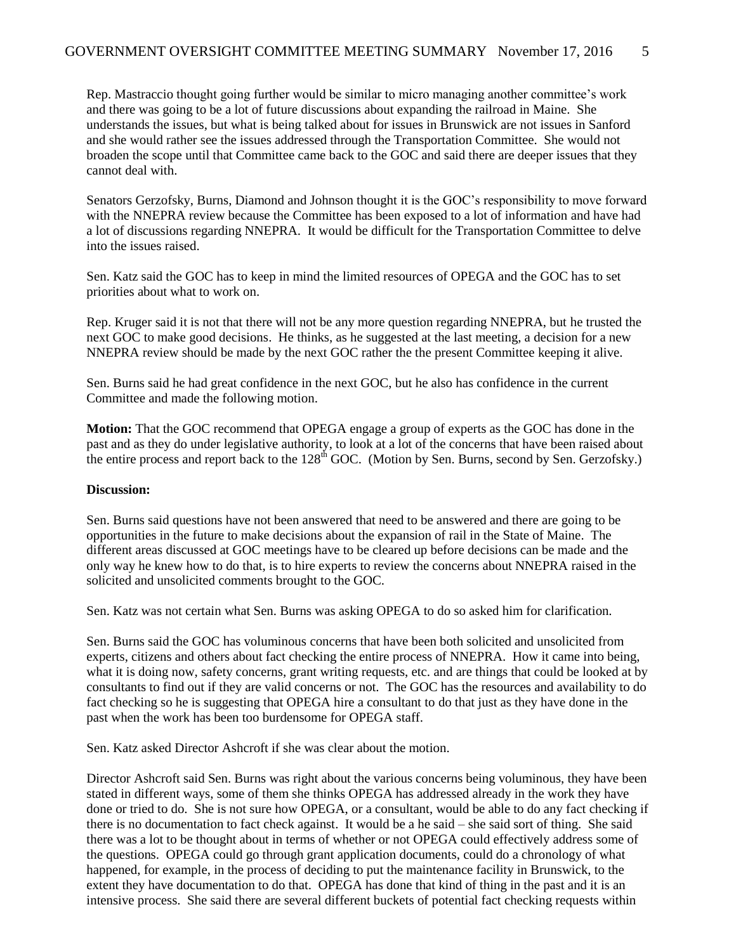Rep. Mastraccio thought going further would be similar to micro managing another committee's work and there was going to be a lot of future discussions about expanding the railroad in Maine. She understands the issues, but what is being talked about for issues in Brunswick are not issues in Sanford and she would rather see the issues addressed through the Transportation Committee. She would not broaden the scope until that Committee came back to the GOC and said there are deeper issues that they cannot deal with.

Senators Gerzofsky, Burns, Diamond and Johnson thought it is the GOC's responsibility to move forward with the NNEPRA review because the Committee has been exposed to a lot of information and have had a lot of discussions regarding NNEPRA. It would be difficult for the Transportation Committee to delve into the issues raised.

Sen. Katz said the GOC has to keep in mind the limited resources of OPEGA and the GOC has to set priorities about what to work on.

Rep. Kruger said it is not that there will not be any more question regarding NNEPRA, but he trusted the next GOC to make good decisions. He thinks, as he suggested at the last meeting, a decision for a new NNEPRA review should be made by the next GOC rather the the present Committee keeping it alive.

Sen. Burns said he had great confidence in the next GOC, but he also has confidence in the current Committee and made the following motion.

**Motion:** That the GOC recommend that OPEGA engage a group of experts as the GOC has done in the past and as they do under legislative authority, to look at a lot of the concerns that have been raised about the entire process and report back to the 128<sup>th</sup> GOC. (Motion by Sen. Burns, second by Sen. Gerzofsky.)

#### **Discussion:**

Sen. Burns said questions have not been answered that need to be answered and there are going to be opportunities in the future to make decisions about the expansion of rail in the State of Maine. The different areas discussed at GOC meetings have to be cleared up before decisions can be made and the only way he knew how to do that, is to hire experts to review the concerns about NNEPRA raised in the solicited and unsolicited comments brought to the GOC.

Sen. Katz was not certain what Sen. Burns was asking OPEGA to do so asked him for clarification.

Sen. Burns said the GOC has voluminous concerns that have been both solicited and unsolicited from experts, citizens and others about fact checking the entire process of NNEPRA. How it came into being, what it is doing now, safety concerns, grant writing requests, etc. and are things that could be looked at by consultants to find out if they are valid concerns or not. The GOC has the resources and availability to do fact checking so he is suggesting that OPEGA hire a consultant to do that just as they have done in the past when the work has been too burdensome for OPEGA staff.

Sen. Katz asked Director Ashcroft if she was clear about the motion.

Director Ashcroft said Sen. Burns was right about the various concerns being voluminous, they have been stated in different ways, some of them she thinks OPEGA has addressed already in the work they have done or tried to do. She is not sure how OPEGA, or a consultant, would be able to do any fact checking if there is no documentation to fact check against. It would be a he said – she said sort of thing. She said there was a lot to be thought about in terms of whether or not OPEGA could effectively address some of the questions. OPEGA could go through grant application documents, could do a chronology of what happened, for example, in the process of deciding to put the maintenance facility in Brunswick, to the extent they have documentation to do that. OPEGA has done that kind of thing in the past and it is an intensive process. She said there are several different buckets of potential fact checking requests within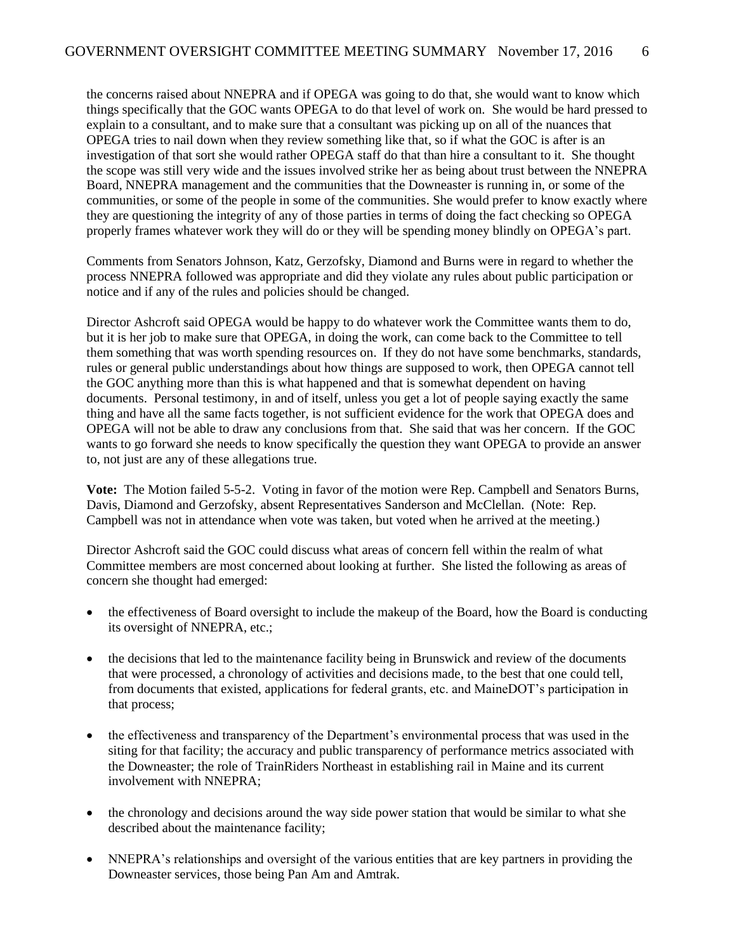the concerns raised about NNEPRA and if OPEGA was going to do that, she would want to know which things specifically that the GOC wants OPEGA to do that level of work on. She would be hard pressed to explain to a consultant, and to make sure that a consultant was picking up on all of the nuances that OPEGA tries to nail down when they review something like that, so if what the GOC is after is an investigation of that sort she would rather OPEGA staff do that than hire a consultant to it. She thought the scope was still very wide and the issues involved strike her as being about trust between the NNEPRA Board, NNEPRA management and the communities that the Downeaster is running in, or some of the communities, or some of the people in some of the communities. She would prefer to know exactly where they are questioning the integrity of any of those parties in terms of doing the fact checking so OPEGA properly frames whatever work they will do or they will be spending money blindly on OPEGA's part.

Comments from Senators Johnson, Katz, Gerzofsky, Diamond and Burns were in regard to whether the process NNEPRA followed was appropriate and did they violate any rules about public participation or notice and if any of the rules and policies should be changed.

Director Ashcroft said OPEGA would be happy to do whatever work the Committee wants them to do, but it is her job to make sure that OPEGA, in doing the work, can come back to the Committee to tell them something that was worth spending resources on. If they do not have some benchmarks, standards, rules or general public understandings about how things are supposed to work, then OPEGA cannot tell the GOC anything more than this is what happened and that is somewhat dependent on having documents. Personal testimony, in and of itself, unless you get a lot of people saying exactly the same thing and have all the same facts together, is not sufficient evidence for the work that OPEGA does and OPEGA will not be able to draw any conclusions from that. She said that was her concern. If the GOC wants to go forward she needs to know specifically the question they want OPEGA to provide an answer to, not just are any of these allegations true.

**Vote:** The Motion failed 5-5-2. Voting in favor of the motion were Rep. Campbell and Senators Burns, Davis, Diamond and Gerzofsky, absent Representatives Sanderson and McClellan. (Note: Rep. Campbell was not in attendance when vote was taken, but voted when he arrived at the meeting.)

Director Ashcroft said the GOC could discuss what areas of concern fell within the realm of what Committee members are most concerned about looking at further. She listed the following as areas of concern she thought had emerged:

- the effectiveness of Board oversight to include the makeup of the Board, how the Board is conducting its oversight of NNEPRA, etc.;
- the decisions that led to the maintenance facility being in Brunswick and review of the documents that were processed, a chronology of activities and decisions made, to the best that one could tell, from documents that existed, applications for federal grants, etc. and MaineDOT's participation in that process;
- the effectiveness and transparency of the Department's environmental process that was used in the siting for that facility; the accuracy and public transparency of performance metrics associated with the Downeaster; the role of TrainRiders Northeast in establishing rail in Maine and its current involvement with NNEPRA;
- the chronology and decisions around the way side power station that would be similar to what she described about the maintenance facility;
- NNEPRA's relationships and oversight of the various entities that are key partners in providing the Downeaster services, those being Pan Am and Amtrak.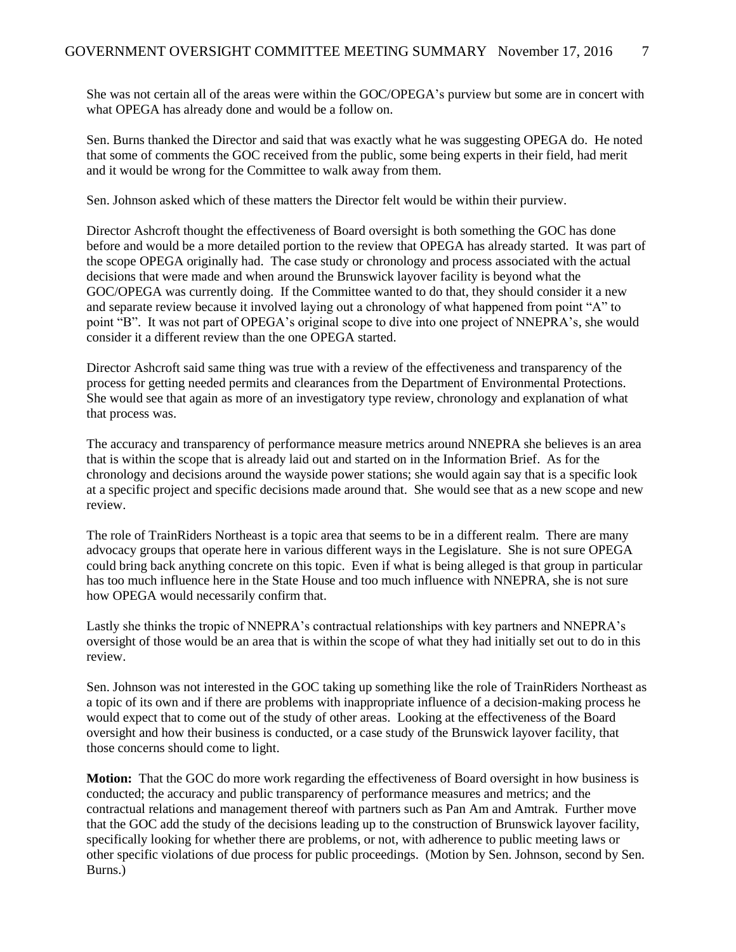She was not certain all of the areas were within the GOC/OPEGA's purview but some are in concert with what OPEGA has already done and would be a follow on.

Sen. Burns thanked the Director and said that was exactly what he was suggesting OPEGA do. He noted that some of comments the GOC received from the public, some being experts in their field, had merit and it would be wrong for the Committee to walk away from them.

Sen. Johnson asked which of these matters the Director felt would be within their purview.

Director Ashcroft thought the effectiveness of Board oversight is both something the GOC has done before and would be a more detailed portion to the review that OPEGA has already started. It was part of the scope OPEGA originally had. The case study or chronology and process associated with the actual decisions that were made and when around the Brunswick layover facility is beyond what the GOC/OPEGA was currently doing. If the Committee wanted to do that, they should consider it a new and separate review because it involved laying out a chronology of what happened from point "A" to point "B". It was not part of OPEGA's original scope to dive into one project of NNEPRA's, she would consider it a different review than the one OPEGA started.

Director Ashcroft said same thing was true with a review of the effectiveness and transparency of the process for getting needed permits and clearances from the Department of Environmental Protections. She would see that again as more of an investigatory type review, chronology and explanation of what that process was.

The accuracy and transparency of performance measure metrics around NNEPRA she believes is an area that is within the scope that is already laid out and started on in the Information Brief. As for the chronology and decisions around the wayside power stations; she would again say that is a specific look at a specific project and specific decisions made around that. She would see that as a new scope and new review.

The role of TrainRiders Northeast is a topic area that seems to be in a different realm. There are many advocacy groups that operate here in various different ways in the Legislature. She is not sure OPEGA could bring back anything concrete on this topic. Even if what is being alleged is that group in particular has too much influence here in the State House and too much influence with NNEPRA, she is not sure how OPEGA would necessarily confirm that.

Lastly she thinks the tropic of NNEPRA's contractual relationships with key partners and NNEPRA's oversight of those would be an area that is within the scope of what they had initially set out to do in this review.

Sen. Johnson was not interested in the GOC taking up something like the role of TrainRiders Northeast as a topic of its own and if there are problems with inappropriate influence of a decision-making process he would expect that to come out of the study of other areas. Looking at the effectiveness of the Board oversight and how their business is conducted, or a case study of the Brunswick layover facility, that those concerns should come to light.

**Motion:** That the GOC do more work regarding the effectiveness of Board oversight in how business is conducted; the accuracy and public transparency of performance measures and metrics; and the contractual relations and management thereof with partners such as Pan Am and Amtrak. Further move that the GOC add the study of the decisions leading up to the construction of Brunswick layover facility, specifically looking for whether there are problems, or not, with adherence to public meeting laws or other specific violations of due process for public proceedings. (Motion by Sen. Johnson, second by Sen. Burns.)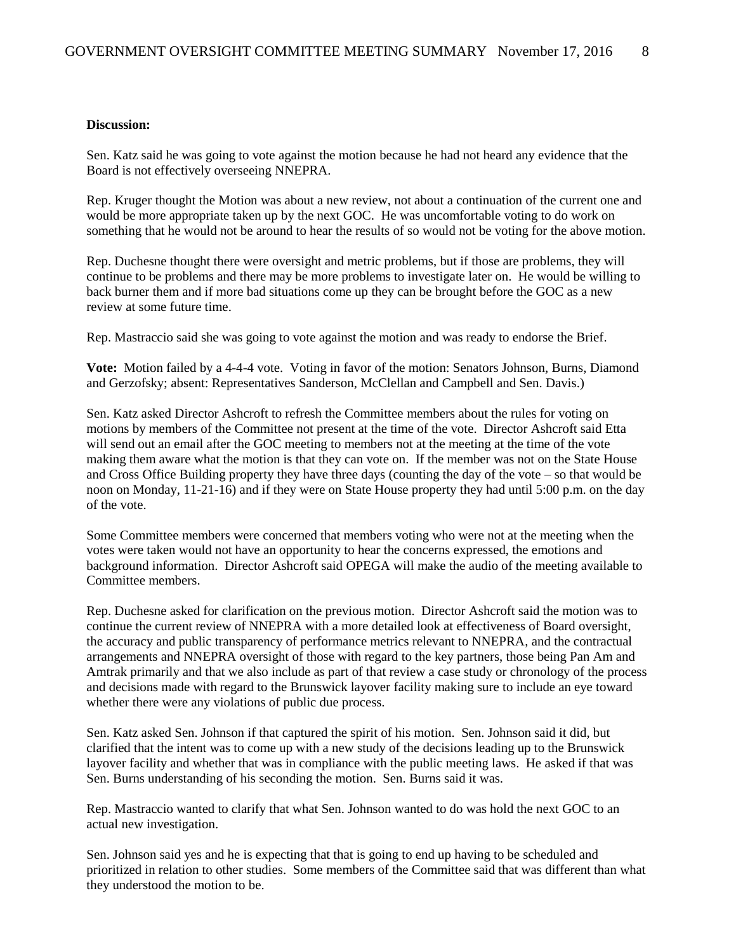#### **Discussion:**

Sen. Katz said he was going to vote against the motion because he had not heard any evidence that the Board is not effectively overseeing NNEPRA.

Rep. Kruger thought the Motion was about a new review, not about a continuation of the current one and would be more appropriate taken up by the next GOC. He was uncomfortable voting to do work on something that he would not be around to hear the results of so would not be voting for the above motion.

Rep. Duchesne thought there were oversight and metric problems, but if those are problems, they will continue to be problems and there may be more problems to investigate later on. He would be willing to back burner them and if more bad situations come up they can be brought before the GOC as a new review at some future time.

Rep. Mastraccio said she was going to vote against the motion and was ready to endorse the Brief.

**Vote:** Motion failed by a 4-4-4 vote. Voting in favor of the motion: Senators Johnson, Burns, Diamond and Gerzofsky; absent: Representatives Sanderson, McClellan and Campbell and Sen. Davis.)

Sen. Katz asked Director Ashcroft to refresh the Committee members about the rules for voting on motions by members of the Committee not present at the time of the vote. Director Ashcroft said Etta will send out an email after the GOC meeting to members not at the meeting at the time of the vote making them aware what the motion is that they can vote on. If the member was not on the State House and Cross Office Building property they have three days (counting the day of the vote – so that would be noon on Monday, 11-21-16) and if they were on State House property they had until 5:00 p.m. on the day of the vote.

Some Committee members were concerned that members voting who were not at the meeting when the votes were taken would not have an opportunity to hear the concerns expressed, the emotions and background information. Director Ashcroft said OPEGA will make the audio of the meeting available to Committee members.

Rep. Duchesne asked for clarification on the previous motion. Director Ashcroft said the motion was to continue the current review of NNEPRA with a more detailed look at effectiveness of Board oversight, the accuracy and public transparency of performance metrics relevant to NNEPRA, and the contractual arrangements and NNEPRA oversight of those with regard to the key partners, those being Pan Am and Amtrak primarily and that we also include as part of that review a case study or chronology of the process and decisions made with regard to the Brunswick layover facility making sure to include an eye toward whether there were any violations of public due process.

Sen. Katz asked Sen. Johnson if that captured the spirit of his motion. Sen. Johnson said it did, but clarified that the intent was to come up with a new study of the decisions leading up to the Brunswick layover facility and whether that was in compliance with the public meeting laws. He asked if that was Sen. Burns understanding of his seconding the motion. Sen. Burns said it was.

Rep. Mastraccio wanted to clarify that what Sen. Johnson wanted to do was hold the next GOC to an actual new investigation.

Sen. Johnson said yes and he is expecting that that is going to end up having to be scheduled and prioritized in relation to other studies. Some members of the Committee said that was different than what they understood the motion to be.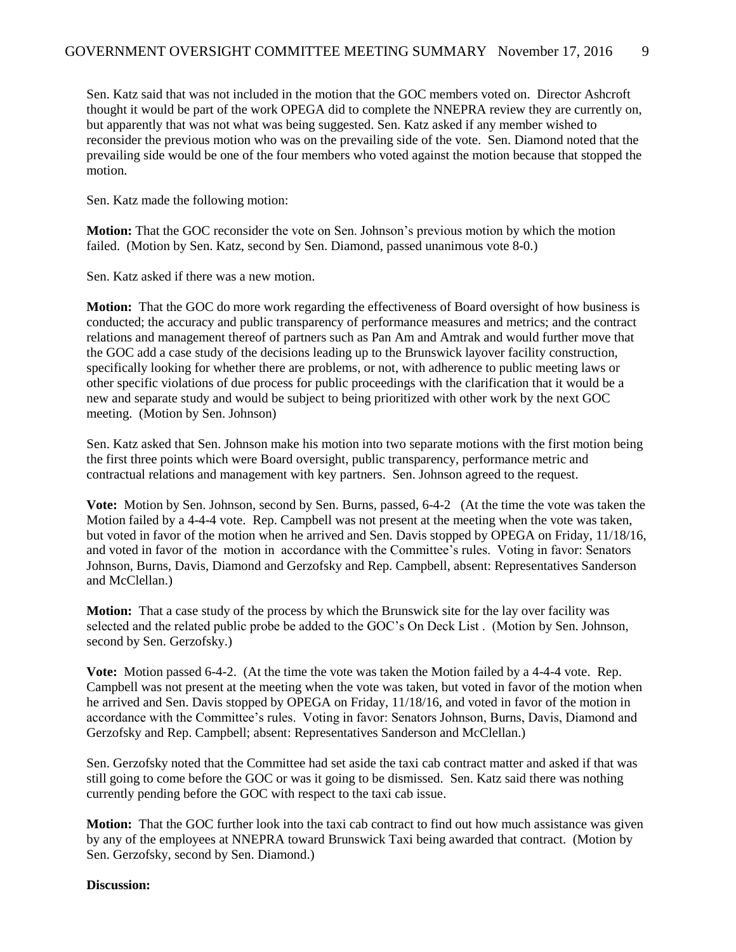Sen. Katz said that was not included in the motion that the GOC members voted on. Director Ashcroft thought it would be part of the work OPEGA did to complete the NNEPRA review they are currently on, but apparently that was not what was being suggested. Sen. Katz asked if any member wished to reconsider the previous motion who was on the prevailing side of the vote. Sen. Diamond noted that the prevailing side would be one of the four members who voted against the motion because that stopped the motion.

Sen. Katz made the following motion:

**Motion:** That the GOC reconsider the vote on Sen. Johnson's previous motion by which the motion failed. (Motion by Sen. Katz, second by Sen. Diamond, passed unanimous vote 8-0.)

Sen. Katz asked if there was a new motion.

**Motion:** That the GOC do more work regarding the effectiveness of Board oversight of how business is conducted; the accuracy and public transparency of performance measures and metrics; and the contract relations and management thereof of partners such as Pan Am and Amtrak and would further move that the GOC add a case study of the decisions leading up to the Brunswick layover facility construction, specifically looking for whether there are problems, or not, with adherence to public meeting laws or other specific violations of due process for public proceedings with the clarification that it would be a new and separate study and would be subject to being prioritized with other work by the next GOC meeting. (Motion by Sen. Johnson)

Sen. Katz asked that Sen. Johnson make his motion into two separate motions with the first motion being the first three points which were Board oversight, public transparency, performance metric and contractual relations and management with key partners. Sen. Johnson agreed to the request.

**Vote:** Motion by Sen. Johnson, second by Sen. Burns, passed, 6-4-2 (At the time the vote was taken the Motion failed by a 4-4-4 vote. Rep. Campbell was not present at the meeting when the vote was taken, but voted in favor of the motion when he arrived and Sen. Davis stopped by OPEGA on Friday, 11/18/16, and voted in favor of the motion in accordance with the Committee's rules. Voting in favor: Senators Johnson, Burns, Davis, Diamond and Gerzofsky and Rep. Campbell, absent: Representatives Sanderson and McClellan.)

**Motion:** That a case study of the process by which the Brunswick site for the lay over facility was selected and the related public probe be added to the GOC's On Deck List . (Motion by Sen. Johnson, second by Sen. Gerzofsky.)

**Vote:** Motion passed 6-4-2. (At the time the vote was taken the Motion failed by a 4-4-4 vote. Rep. Campbell was not present at the meeting when the vote was taken, but voted in favor of the motion when he arrived and Sen. Davis stopped by OPEGA on Friday, 11/18/16, and voted in favor of the motion in accordance with the Committee's rules. Voting in favor: Senators Johnson, Burns, Davis, Diamond and Gerzofsky and Rep. Campbell; absent: Representatives Sanderson and McClellan.)

Sen. Gerzofsky noted that the Committee had set aside the taxi cab contract matter and asked if that was still going to come before the GOC or was it going to be dismissed. Sen. Katz said there was nothing currently pending before the GOC with respect to the taxi cab issue.

**Motion:** That the GOC further look into the taxi cab contract to find out how much assistance was given by any of the employees at NNEPRA toward Brunswick Taxi being awarded that contract. (Motion by Sen. Gerzofsky, second by Sen. Diamond.)

**Discussion:**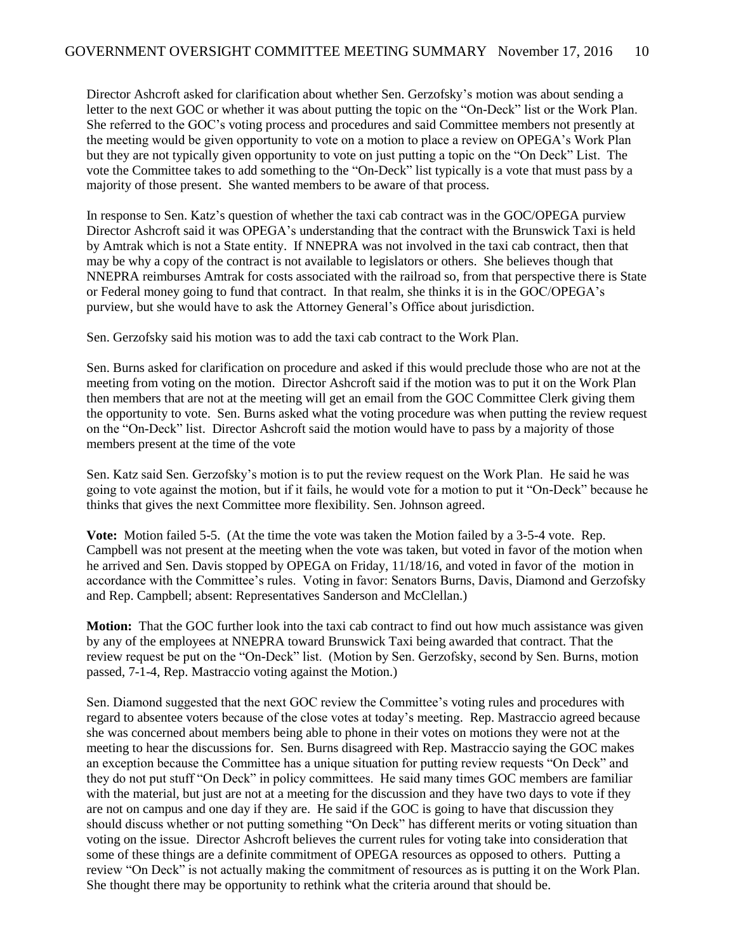Director Ashcroft asked for clarification about whether Sen. Gerzofsky's motion was about sending a letter to the next GOC or whether it was about putting the topic on the "On-Deck" list or the Work Plan. She referred to the GOC's voting process and procedures and said Committee members not presently at the meeting would be given opportunity to vote on a motion to place a review on OPEGA's Work Plan but they are not typically given opportunity to vote on just putting a topic on the "On Deck" List. The vote the Committee takes to add something to the "On-Deck" list typically is a vote that must pass by a majority of those present. She wanted members to be aware of that process.

In response to Sen. Katz's question of whether the taxi cab contract was in the GOC/OPEGA purview Director Ashcroft said it was OPEGA's understanding that the contract with the Brunswick Taxi is held by Amtrak which is not a State entity. If NNEPRA was not involved in the taxi cab contract, then that may be why a copy of the contract is not available to legislators or others. She believes though that NNEPRA reimburses Amtrak for costs associated with the railroad so, from that perspective there is State or Federal money going to fund that contract. In that realm, she thinks it is in the GOC/OPEGA's purview, but she would have to ask the Attorney General's Office about jurisdiction.

Sen. Gerzofsky said his motion was to add the taxi cab contract to the Work Plan.

Sen. Burns asked for clarification on procedure and asked if this would preclude those who are not at the meeting from voting on the motion. Director Ashcroft said if the motion was to put it on the Work Plan then members that are not at the meeting will get an email from the GOC Committee Clerk giving them the opportunity to vote. Sen. Burns asked what the voting procedure was when putting the review request on the "On-Deck" list. Director Ashcroft said the motion would have to pass by a majority of those members present at the time of the vote

Sen. Katz said Sen. Gerzofsky's motion is to put the review request on the Work Plan. He said he was going to vote against the motion, but if it fails, he would vote for a motion to put it "On-Deck" because he thinks that gives the next Committee more flexibility. Sen. Johnson agreed.

**Vote:** Motion failed 5-5. (At the time the vote was taken the Motion failed by a 3-5-4 vote. Rep. Campbell was not present at the meeting when the vote was taken, but voted in favor of the motion when he arrived and Sen. Davis stopped by OPEGA on Friday, 11/18/16, and voted in favor of the motion in accordance with the Committee's rules. Voting in favor: Senators Burns, Davis, Diamond and Gerzofsky and Rep. Campbell; absent: Representatives Sanderson and McClellan.)

**Motion:** That the GOC further look into the taxi cab contract to find out how much assistance was given by any of the employees at NNEPRA toward Brunswick Taxi being awarded that contract. That the review request be put on the "On-Deck" list. (Motion by Sen. Gerzofsky, second by Sen. Burns, motion passed, 7-1-4, Rep. Mastraccio voting against the Motion.)

Sen. Diamond suggested that the next GOC review the Committee's voting rules and procedures with regard to absentee voters because of the close votes at today's meeting. Rep. Mastraccio agreed because she was concerned about members being able to phone in their votes on motions they were not at the meeting to hear the discussions for. Sen. Burns disagreed with Rep. Mastraccio saying the GOC makes an exception because the Committee has a unique situation for putting review requests "On Deck" and they do not put stuff "On Deck" in policy committees. He said many times GOC members are familiar with the material, but just are not at a meeting for the discussion and they have two days to vote if they are not on campus and one day if they are. He said if the GOC is going to have that discussion they should discuss whether or not putting something "On Deck" has different merits or voting situation than voting on the issue. Director Ashcroft believes the current rules for voting take into consideration that some of these things are a definite commitment of OPEGA resources as opposed to others. Putting a review "On Deck" is not actually making the commitment of resources as is putting it on the Work Plan. She thought there may be opportunity to rethink what the criteria around that should be.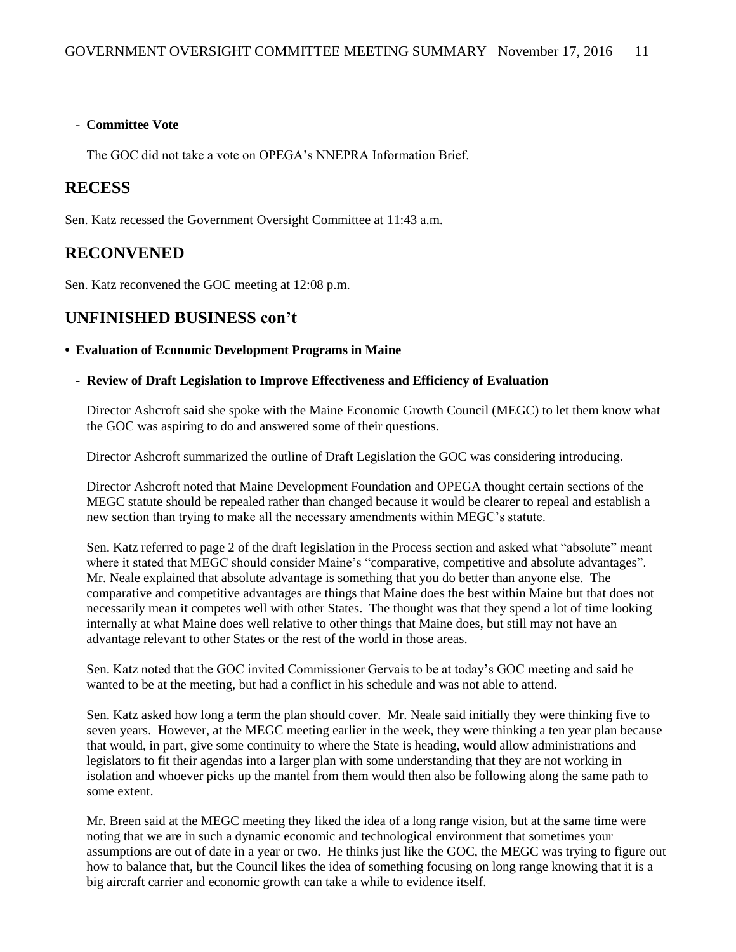#### - **Committee Vote**

The GOC did not take a vote on OPEGA's NNEPRA Information Brief.

#### **RECESS**

Sen. Katz recessed the Government Oversight Committee at 11:43 a.m.

#### **RECONVENED**

Sen. Katz reconvened the GOC meeting at 12:08 p.m.

#### **UNFINISHED BUSINESS con't**

#### **• Evaluation of Economic Development Programs in Maine**

**- Review of Draft Legislation to Improve Effectiveness and Efficiency of Evaluation**

Director Ashcroft said she spoke with the Maine Economic Growth Council (MEGC) to let them know what the GOC was aspiring to do and answered some of their questions.

Director Ashcroft summarized the outline of Draft Legislation the GOC was considering introducing.

Director Ashcroft noted that Maine Development Foundation and OPEGA thought certain sections of the MEGC statute should be repealed rather than changed because it would be clearer to repeal and establish a new section than trying to make all the necessary amendments within MEGC's statute.

Sen. Katz referred to page 2 of the draft legislation in the Process section and asked what "absolute" meant where it stated that MEGC should consider Maine's "comparative, competitive and absolute advantages". Mr. Neale explained that absolute advantage is something that you do better than anyone else. The comparative and competitive advantages are things that Maine does the best within Maine but that does not necessarily mean it competes well with other States. The thought was that they spend a lot of time looking internally at what Maine does well relative to other things that Maine does, but still may not have an advantage relevant to other States or the rest of the world in those areas.

Sen. Katz noted that the GOC invited Commissioner Gervais to be at today's GOC meeting and said he wanted to be at the meeting, but had a conflict in his schedule and was not able to attend.

Sen. Katz asked how long a term the plan should cover. Mr. Neale said initially they were thinking five to seven years. However, at the MEGC meeting earlier in the week, they were thinking a ten year plan because that would, in part, give some continuity to where the State is heading, would allow administrations and legislators to fit their agendas into a larger plan with some understanding that they are not working in isolation and whoever picks up the mantel from them would then also be following along the same path to some extent.

Mr. Breen said at the MEGC meeting they liked the idea of a long range vision, but at the same time were noting that we are in such a dynamic economic and technological environment that sometimes your assumptions are out of date in a year or two. He thinks just like the GOC, the MEGC was trying to figure out how to balance that, but the Council likes the idea of something focusing on long range knowing that it is a big aircraft carrier and economic growth can take a while to evidence itself.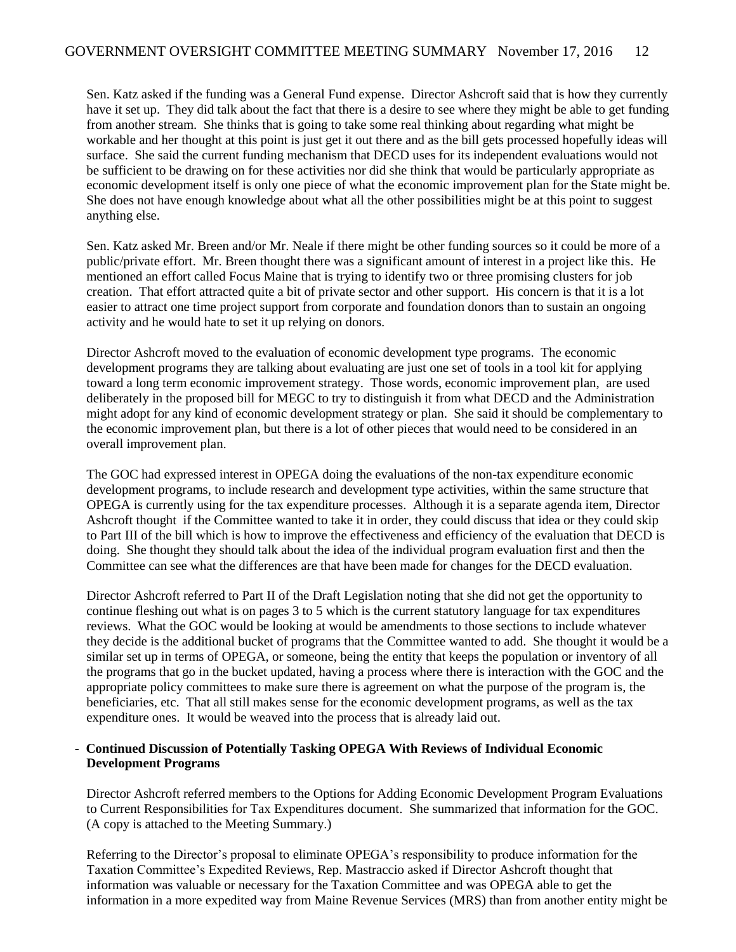Sen. Katz asked if the funding was a General Fund expense. Director Ashcroft said that is how they currently have it set up. They did talk about the fact that there is a desire to see where they might be able to get funding from another stream. She thinks that is going to take some real thinking about regarding what might be workable and her thought at this point is just get it out there and as the bill gets processed hopefully ideas will surface. She said the current funding mechanism that DECD uses for its independent evaluations would not be sufficient to be drawing on for these activities nor did she think that would be particularly appropriate as economic development itself is only one piece of what the economic improvement plan for the State might be. She does not have enough knowledge about what all the other possibilities might be at this point to suggest anything else.

Sen. Katz asked Mr. Breen and/or Mr. Neale if there might be other funding sources so it could be more of a public/private effort. Mr. Breen thought there was a significant amount of interest in a project like this. He mentioned an effort called Focus Maine that is trying to identify two or three promising clusters for job creation. That effort attracted quite a bit of private sector and other support. His concern is that it is a lot easier to attract one time project support from corporate and foundation donors than to sustain an ongoing activity and he would hate to set it up relying on donors.

Director Ashcroft moved to the evaluation of economic development type programs. The economic development programs they are talking about evaluating are just one set of tools in a tool kit for applying toward a long term economic improvement strategy. Those words, economic improvement plan, are used deliberately in the proposed bill for MEGC to try to distinguish it from what DECD and the Administration might adopt for any kind of economic development strategy or plan. She said it should be complementary to the economic improvement plan, but there is a lot of other pieces that would need to be considered in an overall improvement plan.

The GOC had expressed interest in OPEGA doing the evaluations of the non-tax expenditure economic development programs, to include research and development type activities, within the same structure that OPEGA is currently using for the tax expenditure processes. Although it is a separate agenda item, Director Ashcroft thought if the Committee wanted to take it in order, they could discuss that idea or they could skip to Part III of the bill which is how to improve the effectiveness and efficiency of the evaluation that DECD is doing. She thought they should talk about the idea of the individual program evaluation first and then the Committee can see what the differences are that have been made for changes for the DECD evaluation.

Director Ashcroft referred to Part II of the Draft Legislation noting that she did not get the opportunity to continue fleshing out what is on pages 3 to 5 which is the current statutory language for tax expenditures reviews. What the GOC would be looking at would be amendments to those sections to include whatever they decide is the additional bucket of programs that the Committee wanted to add. She thought it would be a similar set up in terms of OPEGA, or someone, being the entity that keeps the population or inventory of all the programs that go in the bucket updated, having a process where there is interaction with the GOC and the appropriate policy committees to make sure there is agreement on what the purpose of the program is, the beneficiaries, etc. That all still makes sense for the economic development programs, as well as the tax expenditure ones. It would be weaved into the process that is already laid out.

#### **- Continued Discussion of Potentially Tasking OPEGA With Reviews of Individual Economic Development Programs**

Director Ashcroft referred members to the Options for Adding Economic Development Program Evaluations to Current Responsibilities for Tax Expenditures document. She summarized that information for the GOC. (A copy is attached to the Meeting Summary.)

Referring to the Director's proposal to eliminate OPEGA's responsibility to produce information for the Taxation Committee's Expedited Reviews, Rep. Mastraccio asked if Director Ashcroft thought that information was valuable or necessary for the Taxation Committee and was OPEGA able to get the information in a more expedited way from Maine Revenue Services (MRS) than from another entity might be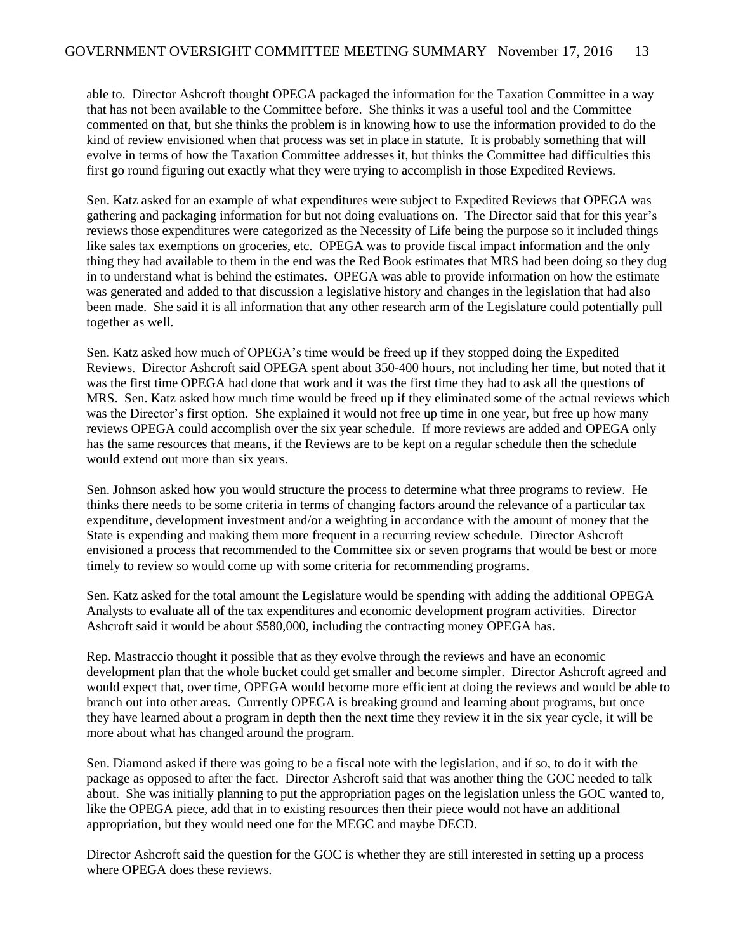able to. Director Ashcroft thought OPEGA packaged the information for the Taxation Committee in a way that has not been available to the Committee before. She thinks it was a useful tool and the Committee commented on that, but she thinks the problem is in knowing how to use the information provided to do the kind of review envisioned when that process was set in place in statute. It is probably something that will evolve in terms of how the Taxation Committee addresses it, but thinks the Committee had difficulties this first go round figuring out exactly what they were trying to accomplish in those Expedited Reviews.

Sen. Katz asked for an example of what expenditures were subject to Expedited Reviews that OPEGA was gathering and packaging information for but not doing evaluations on. The Director said that for this year's reviews those expenditures were categorized as the Necessity of Life being the purpose so it included things like sales tax exemptions on groceries, etc. OPEGA was to provide fiscal impact information and the only thing they had available to them in the end was the Red Book estimates that MRS had been doing so they dug in to understand what is behind the estimates. OPEGA was able to provide information on how the estimate was generated and added to that discussion a legislative history and changes in the legislation that had also been made. She said it is all information that any other research arm of the Legislature could potentially pull together as well.

Sen. Katz asked how much of OPEGA's time would be freed up if they stopped doing the Expedited Reviews. Director Ashcroft said OPEGA spent about 350-400 hours, not including her time, but noted that it was the first time OPEGA had done that work and it was the first time they had to ask all the questions of MRS. Sen. Katz asked how much time would be freed up if they eliminated some of the actual reviews which was the Director's first option. She explained it would not free up time in one year, but free up how many reviews OPEGA could accomplish over the six year schedule. If more reviews are added and OPEGA only has the same resources that means, if the Reviews are to be kept on a regular schedule then the schedule would extend out more than six years.

Sen. Johnson asked how you would structure the process to determine what three programs to review. He thinks there needs to be some criteria in terms of changing factors around the relevance of a particular tax expenditure, development investment and/or a weighting in accordance with the amount of money that the State is expending and making them more frequent in a recurring review schedule. Director Ashcroft envisioned a process that recommended to the Committee six or seven programs that would be best or more timely to review so would come up with some criteria for recommending programs.

Sen. Katz asked for the total amount the Legislature would be spending with adding the additional OPEGA Analysts to evaluate all of the tax expenditures and economic development program activities. Director Ashcroft said it would be about \$580,000, including the contracting money OPEGA has.

Rep. Mastraccio thought it possible that as they evolve through the reviews and have an economic development plan that the whole bucket could get smaller and become simpler. Director Ashcroft agreed and would expect that, over time, OPEGA would become more efficient at doing the reviews and would be able to branch out into other areas. Currently OPEGA is breaking ground and learning about programs, but once they have learned about a program in depth then the next time they review it in the six year cycle, it will be more about what has changed around the program.

Sen. Diamond asked if there was going to be a fiscal note with the legislation, and if so, to do it with the package as opposed to after the fact. Director Ashcroft said that was another thing the GOC needed to talk about. She was initially planning to put the appropriation pages on the legislation unless the GOC wanted to, like the OPEGA piece, add that in to existing resources then their piece would not have an additional appropriation, but they would need one for the MEGC and maybe DECD.

Director Ashcroft said the question for the GOC is whether they are still interested in setting up a process where OPEGA does these reviews.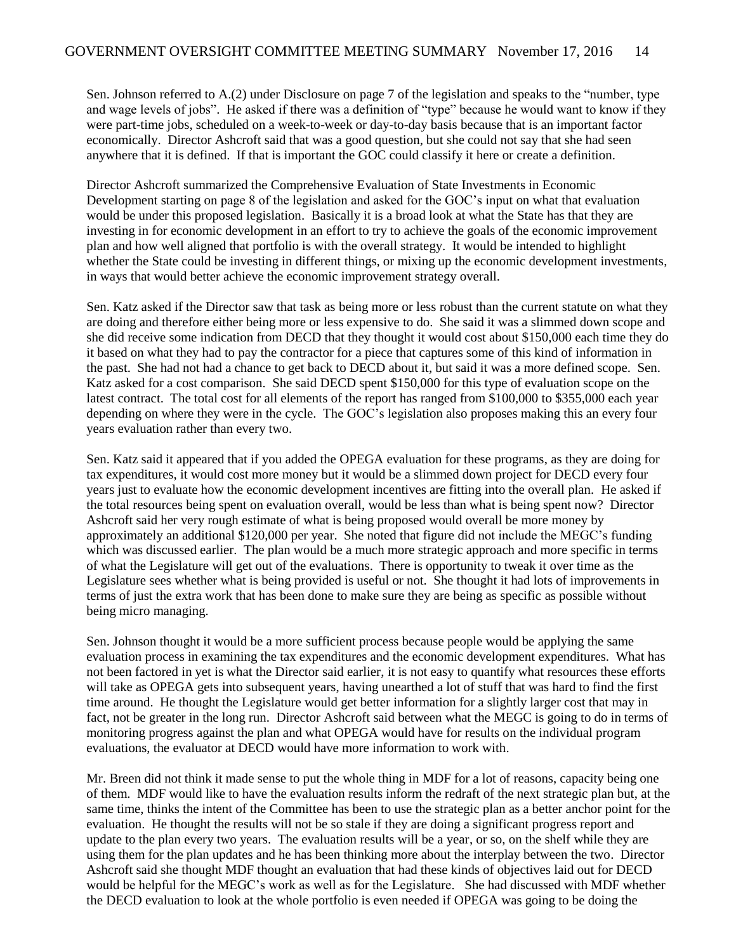Sen. Johnson referred to A.(2) under Disclosure on page 7 of the legislation and speaks to the "number, type and wage levels of jobs". He asked if there was a definition of "type" because he would want to know if they were part-time jobs, scheduled on a week-to-week or day-to-day basis because that is an important factor economically. Director Ashcroft said that was a good question, but she could not say that she had seen anywhere that it is defined. If that is important the GOC could classify it here or create a definition.

Director Ashcroft summarized the Comprehensive Evaluation of State Investments in Economic Development starting on page 8 of the legislation and asked for the GOC's input on what that evaluation would be under this proposed legislation. Basically it is a broad look at what the State has that they are investing in for economic development in an effort to try to achieve the goals of the economic improvement plan and how well aligned that portfolio is with the overall strategy. It would be intended to highlight whether the State could be investing in different things, or mixing up the economic development investments, in ways that would better achieve the economic improvement strategy overall.

Sen. Katz asked if the Director saw that task as being more or less robust than the current statute on what they are doing and therefore either being more or less expensive to do. She said it was a slimmed down scope and she did receive some indication from DECD that they thought it would cost about \$150,000 each time they do it based on what they had to pay the contractor for a piece that captures some of this kind of information in the past. She had not had a chance to get back to DECD about it, but said it was a more defined scope. Sen. Katz asked for a cost comparison. She said DECD spent \$150,000 for this type of evaluation scope on the latest contract. The total cost for all elements of the report has ranged from \$100,000 to \$355,000 each year depending on where they were in the cycle. The GOC's legislation also proposes making this an every four years evaluation rather than every two.

Sen. Katz said it appeared that if you added the OPEGA evaluation for these programs, as they are doing for tax expenditures, it would cost more money but it would be a slimmed down project for DECD every four years just to evaluate how the economic development incentives are fitting into the overall plan. He asked if the total resources being spent on evaluation overall, would be less than what is being spent now? Director Ashcroft said her very rough estimate of what is being proposed would overall be more money by approximately an additional \$120,000 per year. She noted that figure did not include the MEGC's funding which was discussed earlier. The plan would be a much more strategic approach and more specific in terms of what the Legislature will get out of the evaluations. There is opportunity to tweak it over time as the Legislature sees whether what is being provided is useful or not. She thought it had lots of improvements in terms of just the extra work that has been done to make sure they are being as specific as possible without being micro managing.

Sen. Johnson thought it would be a more sufficient process because people would be applying the same evaluation process in examining the tax expenditures and the economic development expenditures. What has not been factored in yet is what the Director said earlier, it is not easy to quantify what resources these efforts will take as OPEGA gets into subsequent years, having unearthed a lot of stuff that was hard to find the first time around. He thought the Legislature would get better information for a slightly larger cost that may in fact, not be greater in the long run. Director Ashcroft said between what the MEGC is going to do in terms of monitoring progress against the plan and what OPEGA would have for results on the individual program evaluations, the evaluator at DECD would have more information to work with.

Mr. Breen did not think it made sense to put the whole thing in MDF for a lot of reasons, capacity being one of them. MDF would like to have the evaluation results inform the redraft of the next strategic plan but, at the same time, thinks the intent of the Committee has been to use the strategic plan as a better anchor point for the evaluation. He thought the results will not be so stale if they are doing a significant progress report and update to the plan every two years. The evaluation results will be a year, or so, on the shelf while they are using them for the plan updates and he has been thinking more about the interplay between the two. Director Ashcroft said she thought MDF thought an evaluation that had these kinds of objectives laid out for DECD would be helpful for the MEGC's work as well as for the Legislature. She had discussed with MDF whether the DECD evaluation to look at the whole portfolio is even needed if OPEGA was going to be doing the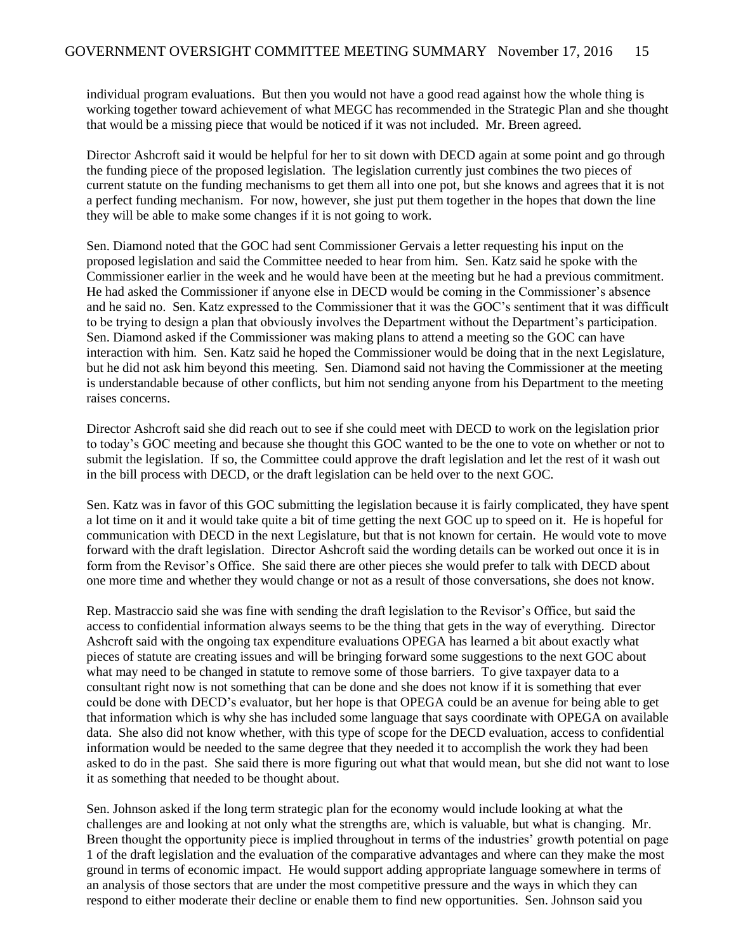individual program evaluations. But then you would not have a good read against how the whole thing is working together toward achievement of what MEGC has recommended in the Strategic Plan and she thought that would be a missing piece that would be noticed if it was not included. Mr. Breen agreed.

Director Ashcroft said it would be helpful for her to sit down with DECD again at some point and go through the funding piece of the proposed legislation. The legislation currently just combines the two pieces of current statute on the funding mechanisms to get them all into one pot, but she knows and agrees that it is not a perfect funding mechanism. For now, however, she just put them together in the hopes that down the line they will be able to make some changes if it is not going to work.

Sen. Diamond noted that the GOC had sent Commissioner Gervais a letter requesting his input on the proposed legislation and said the Committee needed to hear from him. Sen. Katz said he spoke with the Commissioner earlier in the week and he would have been at the meeting but he had a previous commitment. He had asked the Commissioner if anyone else in DECD would be coming in the Commissioner's absence and he said no. Sen. Katz expressed to the Commissioner that it was the GOC's sentiment that it was difficult to be trying to design a plan that obviously involves the Department without the Department's participation. Sen. Diamond asked if the Commissioner was making plans to attend a meeting so the GOC can have interaction with him. Sen. Katz said he hoped the Commissioner would be doing that in the next Legislature, but he did not ask him beyond this meeting. Sen. Diamond said not having the Commissioner at the meeting is understandable because of other conflicts, but him not sending anyone from his Department to the meeting raises concerns.

Director Ashcroft said she did reach out to see if she could meet with DECD to work on the legislation prior to today's GOC meeting and because she thought this GOC wanted to be the one to vote on whether or not to submit the legislation. If so, the Committee could approve the draft legislation and let the rest of it wash out in the bill process with DECD, or the draft legislation can be held over to the next GOC.

Sen. Katz was in favor of this GOC submitting the legislation because it is fairly complicated, they have spent a lot time on it and it would take quite a bit of time getting the next GOC up to speed on it. He is hopeful for communication with DECD in the next Legislature, but that is not known for certain. He would vote to move forward with the draft legislation. Director Ashcroft said the wording details can be worked out once it is in form from the Revisor's Office. She said there are other pieces she would prefer to talk with DECD about one more time and whether they would change or not as a result of those conversations, she does not know.

Rep. Mastraccio said she was fine with sending the draft legislation to the Revisor's Office, but said the access to confidential information always seems to be the thing that gets in the way of everything. Director Ashcroft said with the ongoing tax expenditure evaluations OPEGA has learned a bit about exactly what pieces of statute are creating issues and will be bringing forward some suggestions to the next GOC about what may need to be changed in statute to remove some of those barriers. To give taxpayer data to a consultant right now is not something that can be done and she does not know if it is something that ever could be done with DECD's evaluator, but her hope is that OPEGA could be an avenue for being able to get that information which is why she has included some language that says coordinate with OPEGA on available data. She also did not know whether, with this type of scope for the DECD evaluation, access to confidential information would be needed to the same degree that they needed it to accomplish the work they had been asked to do in the past. She said there is more figuring out what that would mean, but she did not want to lose it as something that needed to be thought about.

Sen. Johnson asked if the long term strategic plan for the economy would include looking at what the challenges are and looking at not only what the strengths are, which is valuable, but what is changing. Mr. Breen thought the opportunity piece is implied throughout in terms of the industries' growth potential on page 1 of the draft legislation and the evaluation of the comparative advantages and where can they make the most ground in terms of economic impact. He would support adding appropriate language somewhere in terms of an analysis of those sectors that are under the most competitive pressure and the ways in which they can respond to either moderate their decline or enable them to find new opportunities. Sen. Johnson said you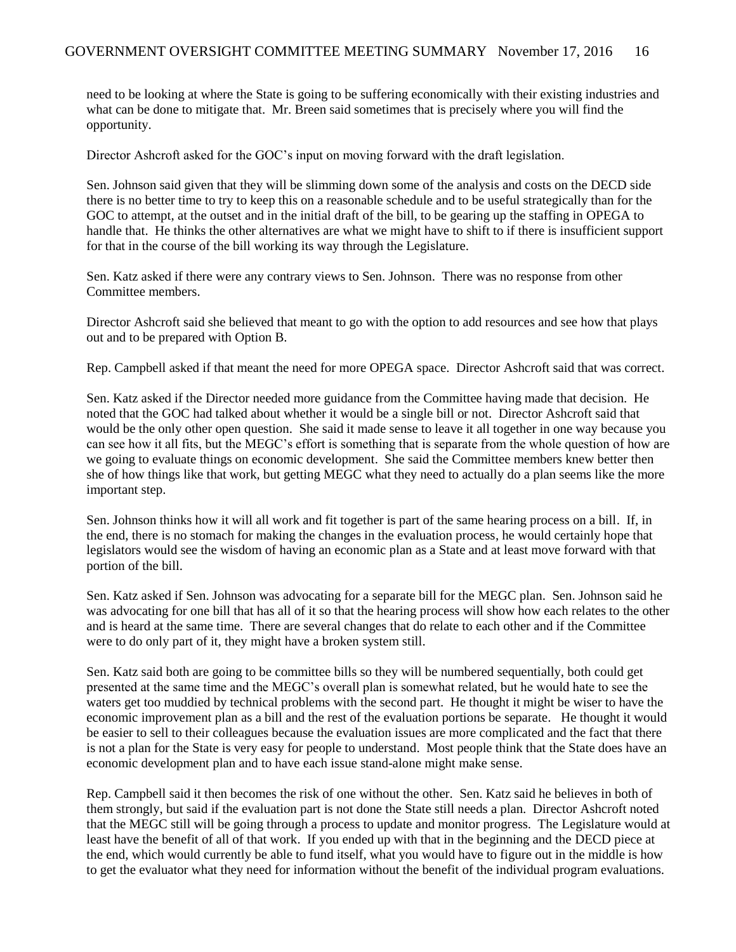need to be looking at where the State is going to be suffering economically with their existing industries and what can be done to mitigate that. Mr. Breen said sometimes that is precisely where you will find the opportunity.

Director Ashcroft asked for the GOC's input on moving forward with the draft legislation.

Sen. Johnson said given that they will be slimming down some of the analysis and costs on the DECD side there is no better time to try to keep this on a reasonable schedule and to be useful strategically than for the GOC to attempt, at the outset and in the initial draft of the bill, to be gearing up the staffing in OPEGA to handle that. He thinks the other alternatives are what we might have to shift to if there is insufficient support for that in the course of the bill working its way through the Legislature.

Sen. Katz asked if there were any contrary views to Sen. Johnson. There was no response from other Committee members.

Director Ashcroft said she believed that meant to go with the option to add resources and see how that plays out and to be prepared with Option B.

Rep. Campbell asked if that meant the need for more OPEGA space. Director Ashcroft said that was correct.

Sen. Katz asked if the Director needed more guidance from the Committee having made that decision. He noted that the GOC had talked about whether it would be a single bill or not. Director Ashcroft said that would be the only other open question. She said it made sense to leave it all together in one way because you can see how it all fits, but the MEGC's effort is something that is separate from the whole question of how are we going to evaluate things on economic development. She said the Committee members knew better then she of how things like that work, but getting MEGC what they need to actually do a plan seems like the more important step.

Sen. Johnson thinks how it will all work and fit together is part of the same hearing process on a bill. If, in the end, there is no stomach for making the changes in the evaluation process, he would certainly hope that legislators would see the wisdom of having an economic plan as a State and at least move forward with that portion of the bill.

Sen. Katz asked if Sen. Johnson was advocating for a separate bill for the MEGC plan. Sen. Johnson said he was advocating for one bill that has all of it so that the hearing process will show how each relates to the other and is heard at the same time. There are several changes that do relate to each other and if the Committee were to do only part of it, they might have a broken system still.

Sen. Katz said both are going to be committee bills so they will be numbered sequentially, both could get presented at the same time and the MEGC's overall plan is somewhat related, but he would hate to see the waters get too muddied by technical problems with the second part. He thought it might be wiser to have the economic improvement plan as a bill and the rest of the evaluation portions be separate. He thought it would be easier to sell to their colleagues because the evaluation issues are more complicated and the fact that there is not a plan for the State is very easy for people to understand. Most people think that the State does have an economic development plan and to have each issue stand-alone might make sense.

Rep. Campbell said it then becomes the risk of one without the other. Sen. Katz said he believes in both of them strongly, but said if the evaluation part is not done the State still needs a plan. Director Ashcroft noted that the MEGC still will be going through a process to update and monitor progress. The Legislature would at least have the benefit of all of that work. If you ended up with that in the beginning and the DECD piece at the end, which would currently be able to fund itself, what you would have to figure out in the middle is how to get the evaluator what they need for information without the benefit of the individual program evaluations.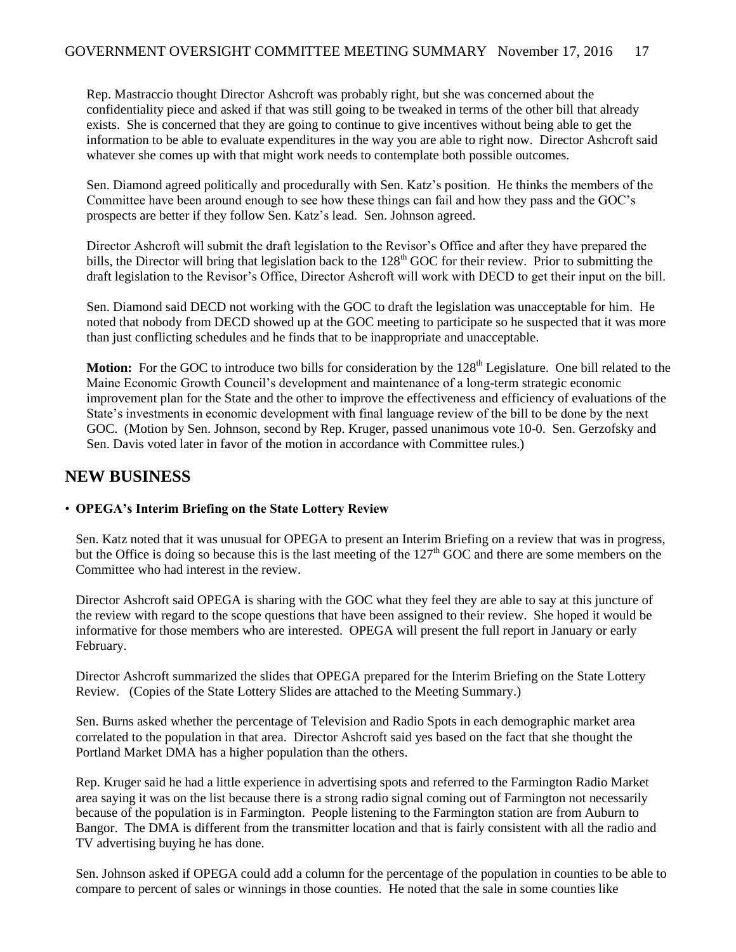Rep. Mastraccio thought Director Ashcroft was probably right, but she was concerned about the confidentiality piece and asked if that was still going to be tweaked in terms of the other bill that already exists. She is concerned that they are going to continue to give incentives without being able to get the information to be able to evaluate expenditures in the way you are able to right now. Director Ashcroft said whatever she comes up with that might work needs to contemplate both possible outcomes.

Sen. Diamond agreed politically and procedurally with Sen. Katz's position. He thinks the members of the Committee have been around enough to see how these things can fail and how they pass and the GOC's prospects are better if they follow Sen. Katz's lead. Sen. Johnson agreed.

Director Ashcroft will submit the draft legislation to the Revisor's Office and after they have prepared the bills, the Director will bring that legislation back to the 128<sup>th</sup> GOC for their review. Prior to submitting the draft legislation to the Revisor's Office, Director Ashcroft will work with DECD to get their input on the bill.

Sen. Diamond said DECD not working with the GOC to draft the legislation was unacceptable for him. He noted that nobody from DECD showed up at the GOC meeting to participate so he suspected that it was more than just conflicting schedules and he finds that to be inappropriate and unacceptable.

**Motion:** For the GOC to introduce two bills for consideration by the 128<sup>th</sup> Legislature. One bill related to the Maine Economic Growth Council's development and maintenance of a long-term strategic economic improvement plan for the State and the other to improve the effectiveness and efficiency of evaluations of the State's investments in economic development with final language review of the bill to be done by the next GOC. (Motion by Sen. Johnson, second by Rep. Kruger, passed unanimous vote 10-0. Sen. Gerzofsky and Sen. Davis voted later in favor of the motion in accordance with Committee rules.)

#### **NEW BUSINESS**

#### • **OPEGA's Interim Briefing on the State Lottery Review**

Sen. Katz noted that it was unusual for OPEGA to present an Interim Briefing on a review that was in progress, but the Office is doing so because this is the last meeting of the  $127<sup>th</sup>$  GOC and there are some members on the Committee who had interest in the review.

Director Ashcroft said OPEGA is sharing with the GOC what they feel they are able to say at this juncture of the review with regard to the scope questions that have been assigned to their review. She hoped it would be informative for those members who are interested. OPEGA will present the full report in January or early February.

Director Ashcroft summarized the slides that OPEGA prepared for the Interim Briefing on the State Lottery Review. (Copies of the State Lottery Slides are attached to the Meeting Summary.)

Sen. Burns asked whether the percentage of Television and Radio Spots in each demographic market area correlated to the population in that area. Director Ashcroft said yes based on the fact that she thought the Portland Market DMA has a higher population than the others.

Rep. Kruger said he had a little experience in advertising spots and referred to the Farmington Radio Market area saying it was on the list because there is a strong radio signal coming out of Farmington not necessarily because of the population is in Farmington. People listening to the Farmington station are from Auburn to Bangor. The DMA is different from the transmitter location and that is fairly consistent with all the radio and TV advertising buying he has done.

Sen. Johnson asked if OPEGA could add a column for the percentage of the population in counties to be able to compare to percent of sales or winnings in those counties. He noted that the sale in some counties like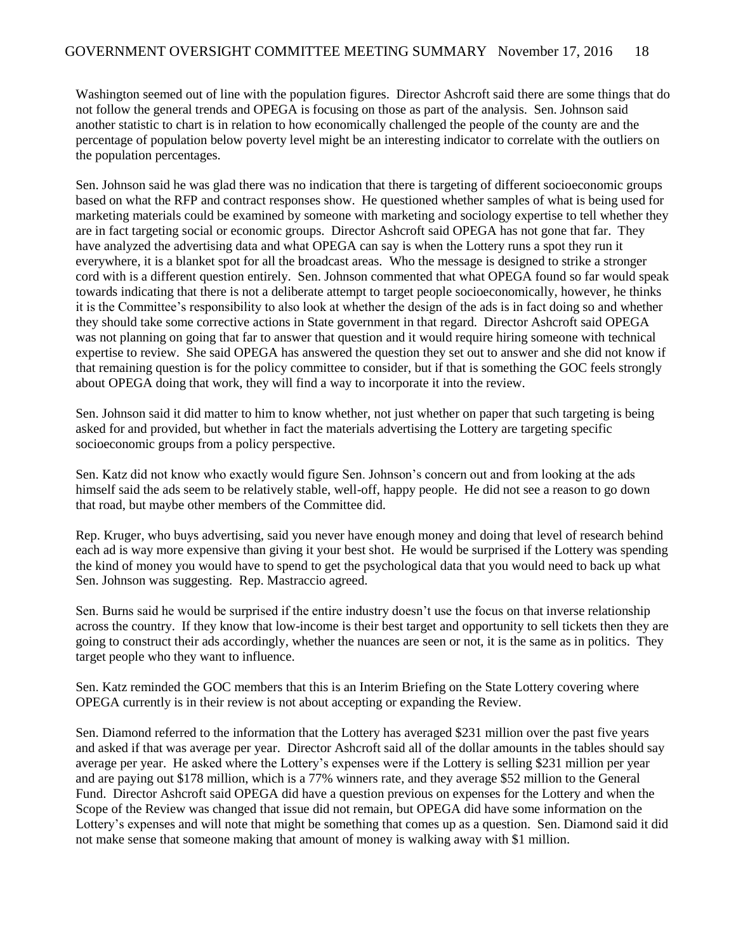Washington seemed out of line with the population figures. Director Ashcroft said there are some things that do not follow the general trends and OPEGA is focusing on those as part of the analysis. Sen. Johnson said another statistic to chart is in relation to how economically challenged the people of the county are and the percentage of population below poverty level might be an interesting indicator to correlate with the outliers on the population percentages.

Sen. Johnson said he was glad there was no indication that there is targeting of different socioeconomic groups based on what the RFP and contract responses show. He questioned whether samples of what is being used for marketing materials could be examined by someone with marketing and sociology expertise to tell whether they are in fact targeting social or economic groups. Director Ashcroft said OPEGA has not gone that far. They have analyzed the advertising data and what OPEGA can say is when the Lottery runs a spot they run it everywhere, it is a blanket spot for all the broadcast areas. Who the message is designed to strike a stronger cord with is a different question entirely. Sen. Johnson commented that what OPEGA found so far would speak towards indicating that there is not a deliberate attempt to target people socioeconomically, however, he thinks it is the Committee's responsibility to also look at whether the design of the ads is in fact doing so and whether they should take some corrective actions in State government in that regard. Director Ashcroft said OPEGA was not planning on going that far to answer that question and it would require hiring someone with technical expertise to review. She said OPEGA has answered the question they set out to answer and she did not know if that remaining question is for the policy committee to consider, but if that is something the GOC feels strongly about OPEGA doing that work, they will find a way to incorporate it into the review.

Sen. Johnson said it did matter to him to know whether, not just whether on paper that such targeting is being asked for and provided, but whether in fact the materials advertising the Lottery are targeting specific socioeconomic groups from a policy perspective.

Sen. Katz did not know who exactly would figure Sen. Johnson's concern out and from looking at the ads himself said the ads seem to be relatively stable, well-off, happy people. He did not see a reason to go down that road, but maybe other members of the Committee did.

Rep. Kruger, who buys advertising, said you never have enough money and doing that level of research behind each ad is way more expensive than giving it your best shot. He would be surprised if the Lottery was spending the kind of money you would have to spend to get the psychological data that you would need to back up what Sen. Johnson was suggesting. Rep. Mastraccio agreed.

Sen. Burns said he would be surprised if the entire industry doesn't use the focus on that inverse relationship across the country. If they know that low-income is their best target and opportunity to sell tickets then they are going to construct their ads accordingly, whether the nuances are seen or not, it is the same as in politics. They target people who they want to influence.

Sen. Katz reminded the GOC members that this is an Interim Briefing on the State Lottery covering where OPEGA currently is in their review is not about accepting or expanding the Review.

Sen. Diamond referred to the information that the Lottery has averaged \$231 million over the past five years and asked if that was average per year. Director Ashcroft said all of the dollar amounts in the tables should say average per year. He asked where the Lottery's expenses were if the Lottery is selling \$231 million per year and are paying out \$178 million, which is a 77% winners rate, and they average \$52 million to the General Fund. Director Ashcroft said OPEGA did have a question previous on expenses for the Lottery and when the Scope of the Review was changed that issue did not remain, but OPEGA did have some information on the Lottery's expenses and will note that might be something that comes up as a question. Sen. Diamond said it did not make sense that someone making that amount of money is walking away with \$1 million.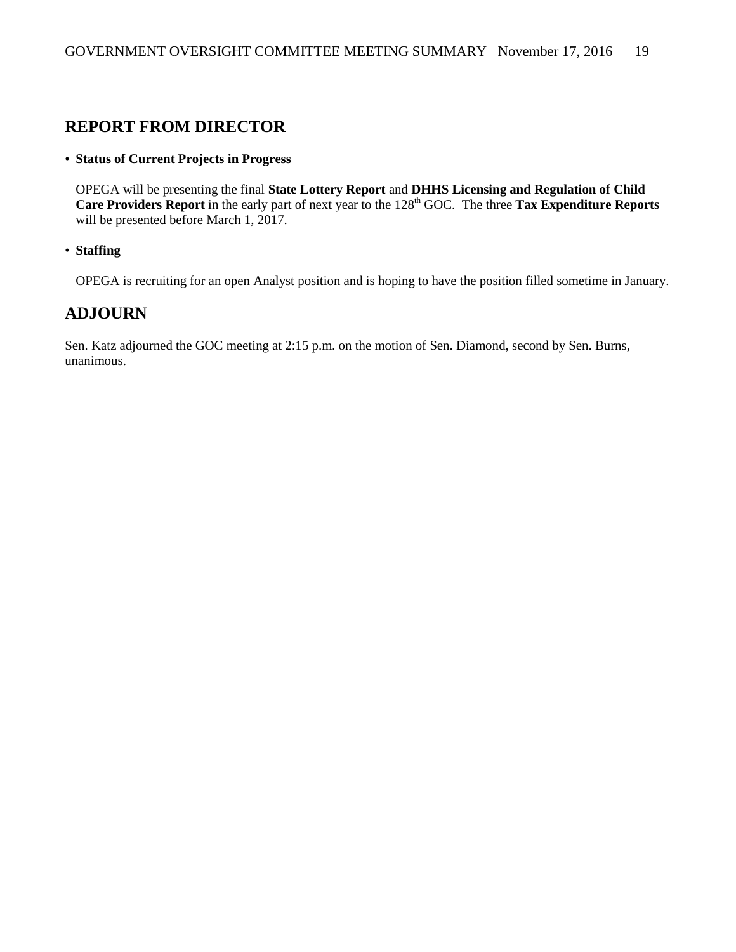#### **REPORT FROM DIRECTOR**

#### • **Status of Current Projects in Progress**

OPEGA will be presenting the final **State Lottery Report** and **DHHS Licensing and Regulation of Child Care Providers Report** in the early part of next year to the 128<sup>th</sup> GOC. The three **Tax Expenditure Reports** will be presented before March 1, 2017.

• **Staffing**

OPEGA is recruiting for an open Analyst position and is hoping to have the position filled sometime in January.

#### **ADJOURN**

Sen. Katz adjourned the GOC meeting at 2:15 p.m. on the motion of Sen. Diamond, second by Sen. Burns, unanimous.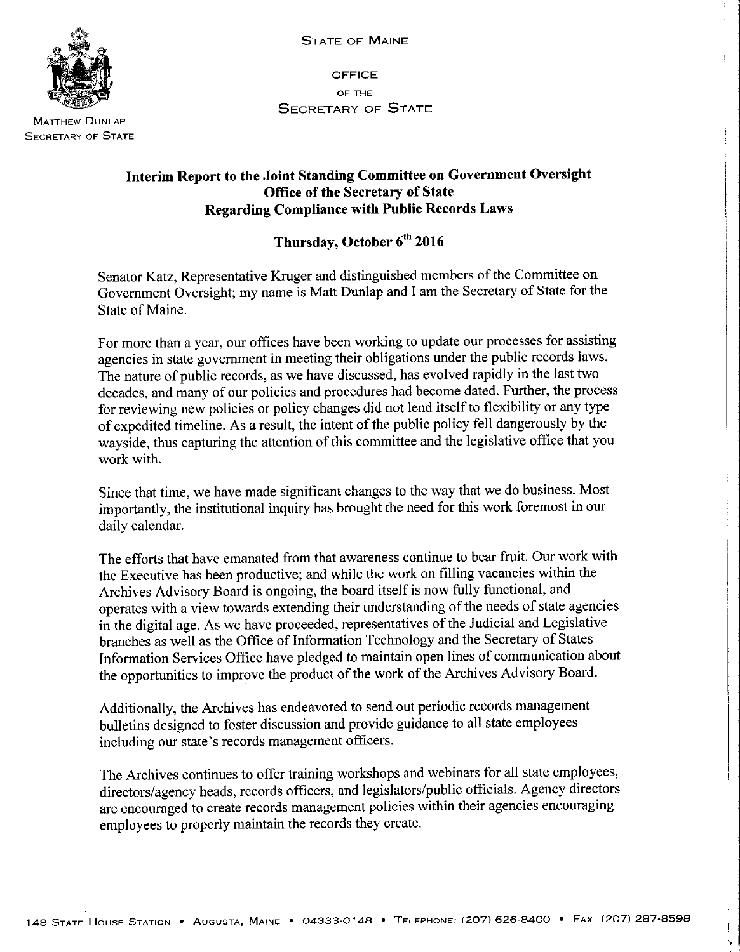

**MATTHEW DUNLAP SECRETARY OF STATE** 

**OFFICE** OF THE **SECRETARY OF STATE** 

#### Interim Report to the Joint Standing Committee on Government Oversight Office of the Secretary of State **Regarding Compliance with Public Records Laws**

#### Thursday, October 6th 2016

Senator Katz, Representative Kruger and distinguished members of the Committee on Government Oversight; my name is Matt Dunlap and I am the Secretary of State for the State of Maine.

For more than a year, our offices have been working to update our processes for assisting agencies in state government in meeting their obligations under the public records laws. The nature of public records, as we have discussed, has evolved rapidly in the last two decades, and many of our policies and procedures had become dated. Further, the process for reviewing new policies or policy changes did not lend itself to flexibility or any type of expedited timeline. As a result, the intent of the public policy fell dangerously by the wayside, thus capturing the attention of this committee and the legislative office that you work with.

Since that time, we have made significant changes to the way that we do business. Most importantly, the institutional inquiry has brought the need for this work foremost in our daily calendar.

The efforts that have emanated from that awareness continue to bear fruit. Our work with the Executive has been productive; and while the work on filling vacancies within the Archives Advisory Board is ongoing, the board itself is now fully functional, and operates with a view towards extending their understanding of the needs of state agencies in the digital age. As we have proceeded, representatives of the Judicial and Legislative branches as well as the Office of Information Technology and the Secretary of States Information Services Office have pledged to maintain open lines of communication about the opportunities to improve the product of the work of the Archives Advisory Board.

Additionally, the Archives has endeavored to send out periodic records management bulletins designed to foster discussion and provide guidance to all state employees including our state's records management officers.

The Archives continues to offer training workshops and webinars for all state employees, directors/agency heads, records officers, and legislators/public officials. Agency directors are encouraged to create records management policies within their agencies encouraging employees to properly maintain the records they create.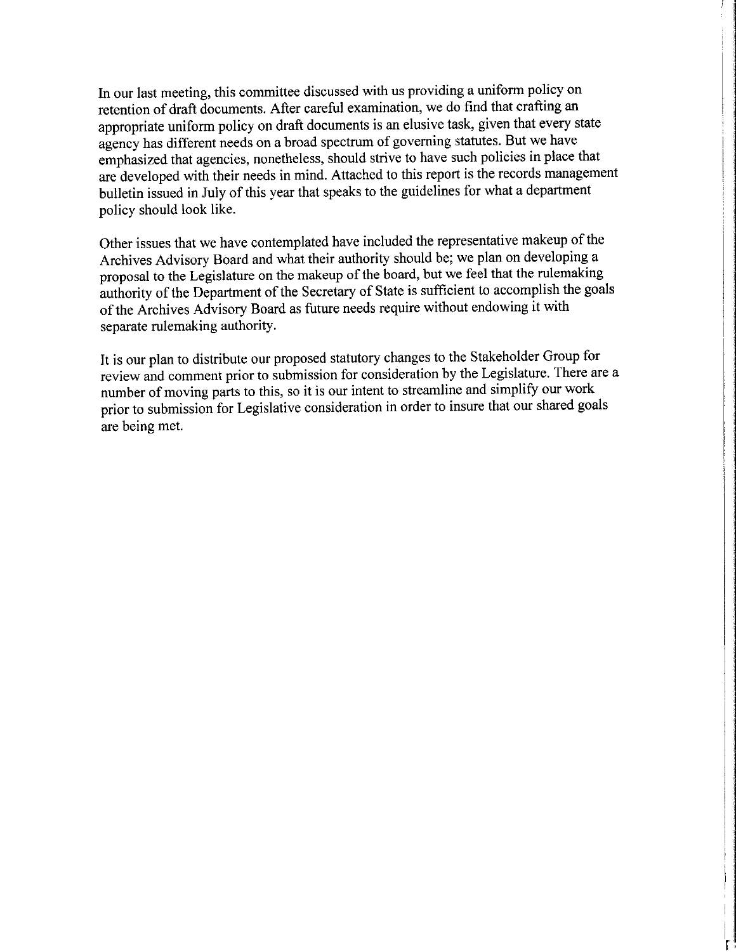In our last meeting, this committee discussed with us providing a uniform policy on retention of draft documents. After careful examination, we do find that crafting an appropriate uniform policy on draft documents is an elusive task, given that every state agency has different needs on a broad spectrum of governing statutes. But we have emphasized that agencies, nonetheless, should strive to have such policies in place that are developed with their needs in mind. Attached to this report is the records management bulletin issued in July of this year that speaks to the guidelines for what a department policy should look like.

Other issues that we have contemplated have included the representative makeup of the Archives Advisory Board and what their authority should be; we plan on developing a proposal to the Legislature on the makeup of the board, but we feel that the rulemaking authority of the Department of the Secretary of State is sufficient to accomplish the goals of the Archives Advisory Board as future needs require without endowing it with separate rulemaking authority.

It is our plan to distribute our proposed statutory changes to the Stakeholder Group for review and comment prior to submission for consideration by the Legislature. There are a number of moving parts to this, so it is our intent to streamline and simplify our work prior to submission for Legislative consideration in order to insure that our shared goals are being met.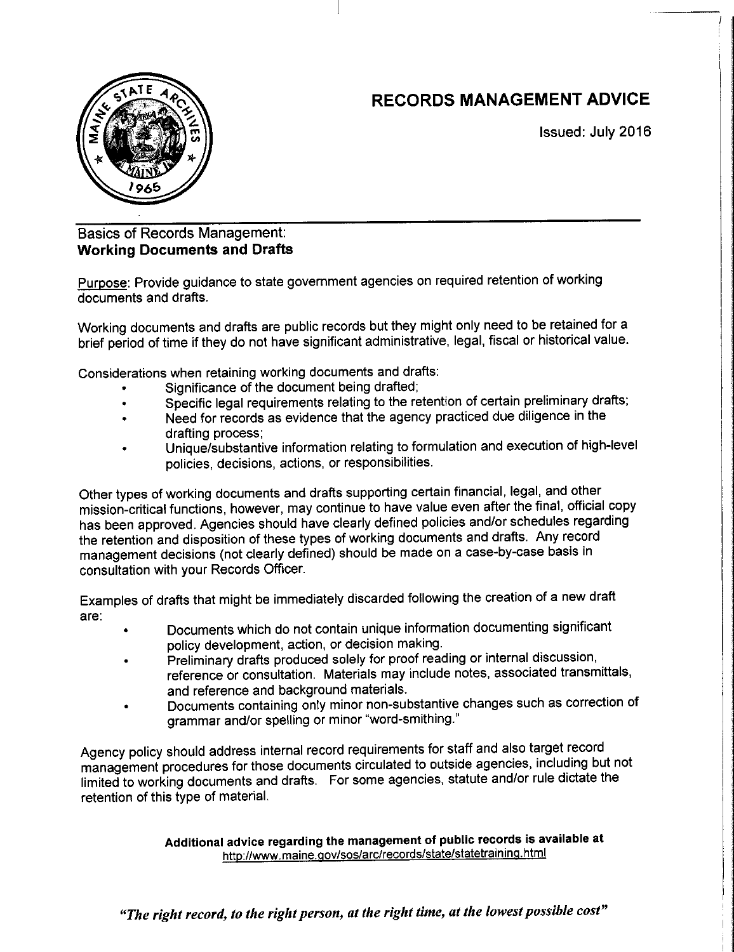### **RECORDS MANAGEMENT ADVICE**



Issued: July 2016

#### **Basics of Records Management: Working Documents and Drafts**

Purpose: Provide guidance to state government agencies on required retention of working documents and drafts.

Working documents and drafts are public records but they might only need to be retained for a brief period of time if they do not have significant administrative, legal, fiscal or historical value.

Considerations when retaining working documents and drafts:

- Significance of the document being drafted:
- Specific legal requirements relating to the retention of certain preliminary drafts;
- Need for records as evidence that the agency practiced due diligence in the  $\bullet$ drafting process;
- Unique/substantive information relating to formulation and execution of high-level policies, decisions, actions, or responsibilities.

Other types of working documents and drafts supporting certain financial, legal, and other mission-critical functions, however, may continue to have value even after the final, official copy has been approved. Agencies should have clearly defined policies and/or schedules regarding the retention and disposition of these types of working documents and drafts. Any record management decisions (not clearly defined) should be made on a case-by-case basis in consultation with your Records Officer.

Examples of drafts that might be immediately discarded following the creation of a new draft are:

- Documents which do not contain unique information documenting significant policy development, action, or decision making.
- Preliminary drafts produced solely for proof reading or internal discussion, reference or consultation. Materials may include notes, associated transmittals, and reference and background materials.
- Documents containing only minor non-substantive changes such as correction of grammar and/or spelling or minor "word-smithing."

Agency policy should address internal record requirements for staff and also target record management procedures for those documents circulated to outside agencies, including but not limited to working documents and drafts. For some agencies, statute and/or rule dictate the retention of this type of material.

> Additional advice regarding the management of public records is available at http://www.maine.gov/sos/arc/records/state/statetraining.html

"The right record, to the right person, at the right time, at the lowest possible cost"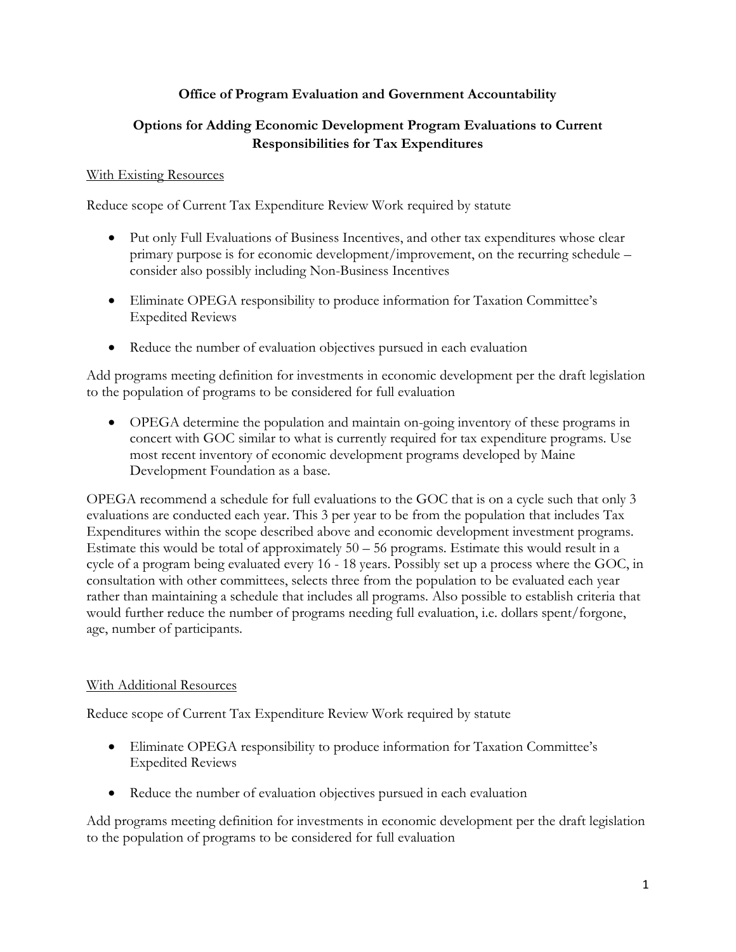#### **Office of Program Evaluation and Government Accountability**

#### **Options for Adding Economic Development Program Evaluations to Current Responsibilities for Tax Expenditures**

#### With Existing Resources

Reduce scope of Current Tax Expenditure Review Work required by statute

- Put only Full Evaluations of Business Incentives, and other tax expenditures whose clear primary purpose is for economic development/improvement, on the recurring schedule – consider also possibly including Non-Business Incentives
- Eliminate OPEGA responsibility to produce information for Taxation Committee's Expedited Reviews
- Reduce the number of evaluation objectives pursued in each evaluation

Add programs meeting definition for investments in economic development per the draft legislation to the population of programs to be considered for full evaluation

 OPEGA determine the population and maintain on-going inventory of these programs in concert with GOC similar to what is currently required for tax expenditure programs. Use most recent inventory of economic development programs developed by Maine Development Foundation as a base.

OPEGA recommend a schedule for full evaluations to the GOC that is on a cycle such that only 3 evaluations are conducted each year. This 3 per year to be from the population that includes Tax Expenditures within the scope described above and economic development investment programs. Estimate this would be total of approximately  $50 - 56$  programs. Estimate this would result in a cycle of a program being evaluated every 16 - 18 years. Possibly set up a process where the GOC, in consultation with other committees, selects three from the population to be evaluated each year rather than maintaining a schedule that includes all programs. Also possible to establish criteria that would further reduce the number of programs needing full evaluation, i.e. dollars spent/forgone, age, number of participants.

#### With Additional Resources

Reduce scope of Current Tax Expenditure Review Work required by statute

- Eliminate OPEGA responsibility to produce information for Taxation Committee's Expedited Reviews
- Reduce the number of evaluation objectives pursued in each evaluation

Add programs meeting definition for investments in economic development per the draft legislation to the population of programs to be considered for full evaluation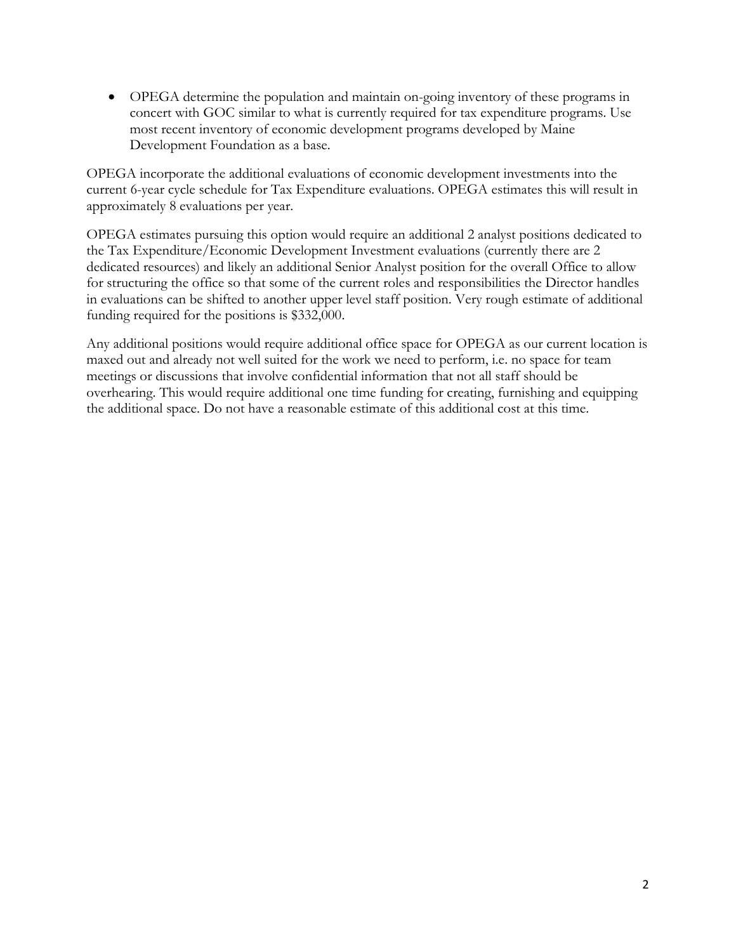OPEGA determine the population and maintain on-going inventory of these programs in concert with GOC similar to what is currently required for tax expenditure programs. Use most recent inventory of economic development programs developed by Maine Development Foundation as a base.

OPEGA incorporate the additional evaluations of economic development investments into the current 6-year cycle schedule for Tax Expenditure evaluations. OPEGA estimates this will result in approximately 8 evaluations per year.

OPEGA estimates pursuing this option would require an additional 2 analyst positions dedicated to the Tax Expenditure/Economic Development Investment evaluations (currently there are 2 dedicated resources) and likely an additional Senior Analyst position for the overall Office to allow for structuring the office so that some of the current roles and responsibilities the Director handles in evaluations can be shifted to another upper level staff position. Very rough estimate of additional funding required for the positions is \$332,000.

Any additional positions would require additional office space for OPEGA as our current location is maxed out and already not well suited for the work we need to perform, i.e. no space for team meetings or discussions that involve confidential information that not all staff should be overhearing. This would require additional one time funding for creating, furnishing and equipping the additional space. Do not have a reasonable estimate of this additional cost at this time.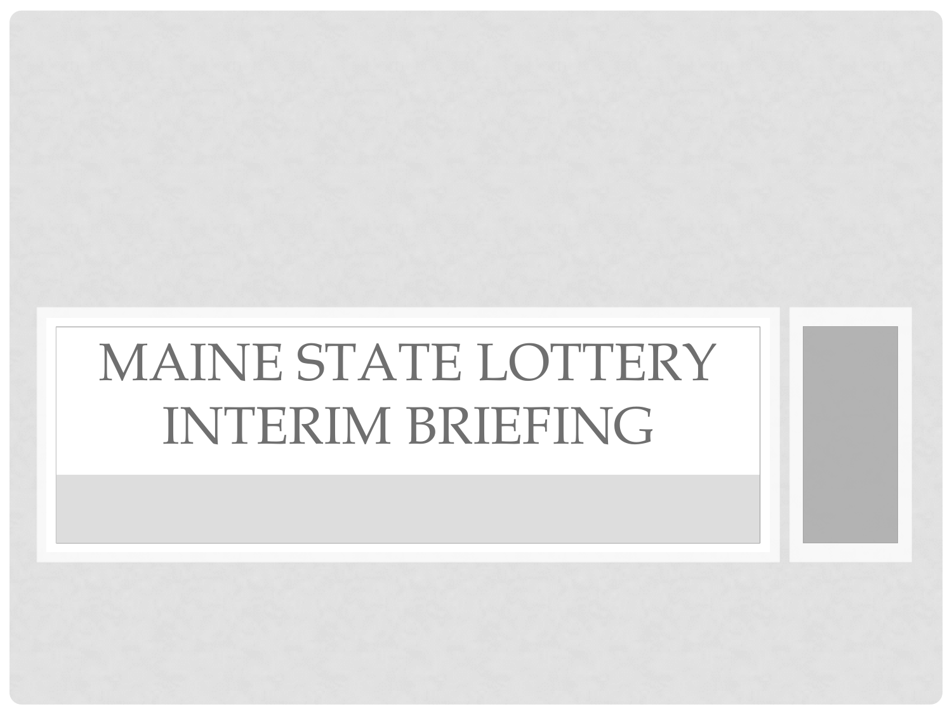# MAINE STATE LOTTERY INTERIM BRIEFING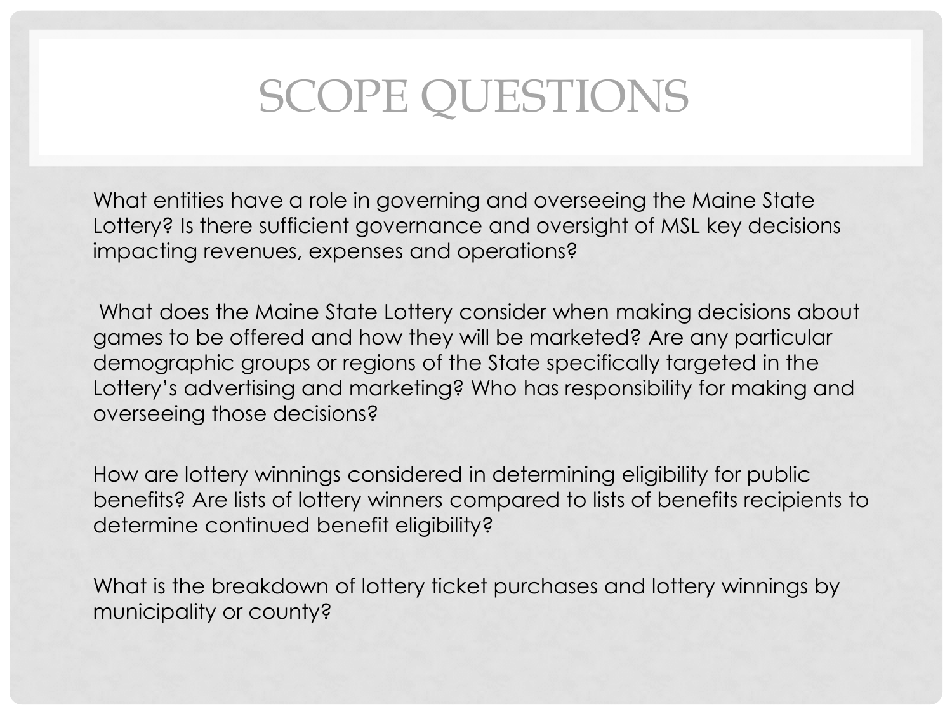## SCOPE QUESTIONS

• What entities have a role in governing and overseeing the Maine State Lottery? Is there sufficient governance and oversight of MSL key decisions impacting revenues, expenses and operations?

• What does the Maine State Lottery consider when making decisions about games to be offered and how they will be marketed? Are any particular demographic groups or regions of the State specifically targeted in the Lottery's advertising and marketing? Who has responsibility for making and overseeing those decisions?

• How are lottery winnings considered in determining eligibility for public benefits? Are lists of lottery winners compared to lists of benefits recipients to determine continued benefit eligibility?

• What is the breakdown of lottery ticket purchases and lottery winnings by municipality or county?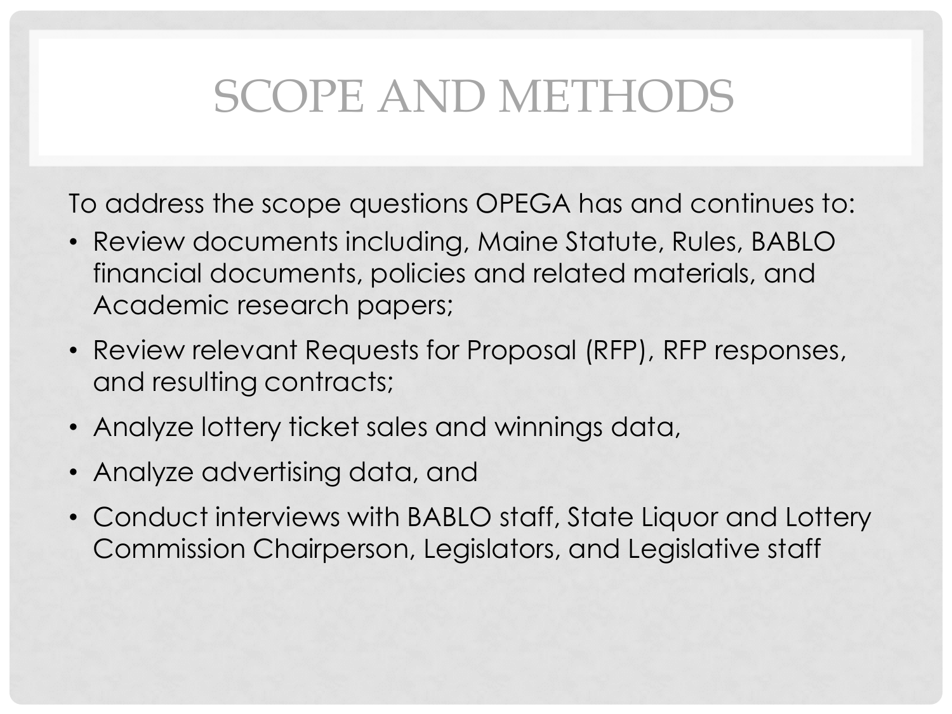## SCOPE AND METHODS

To address the scope questions OPEGA has and continues to:

- Review documents including, Maine Statute, Rules, BABLO financial documents, policies and related materials, and Academic research papers;
- Review relevant Requests for Proposal (RFP), RFP responses, and resulting contracts;
- Analyze lottery ticket sales and winnings data,
- Analyze advertising data, and
- Conduct interviews with BABLO staff, State Liquor and Lottery Commission Chairperson, Legislators, and Legislative staff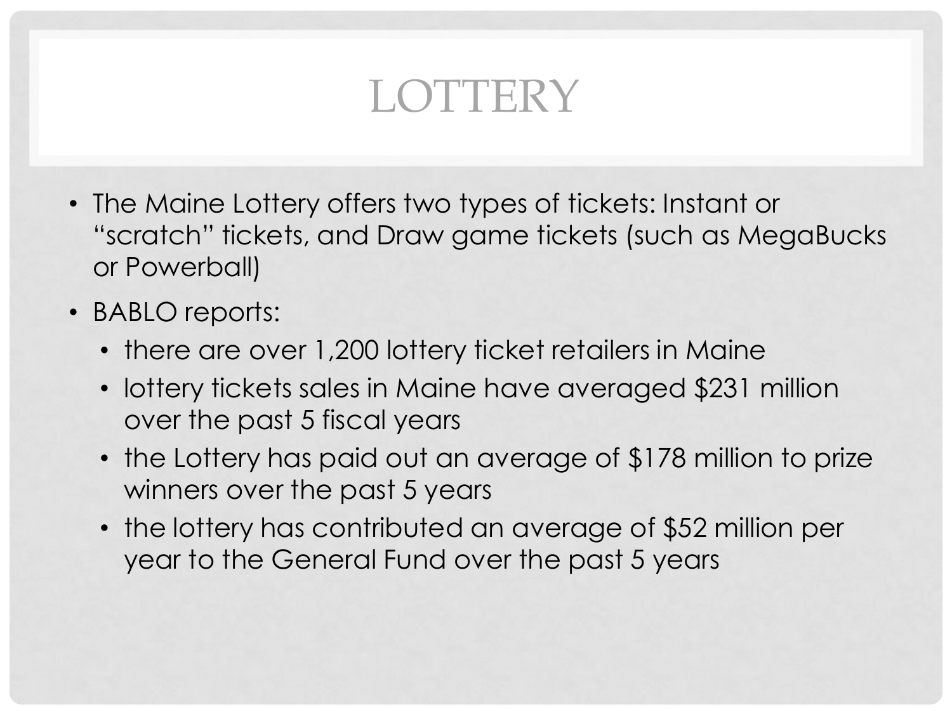## **LOTTERY**

- The Maine Lottery offers two types of tickets: Instant or "scratch" tickets, and Draw game tickets (such as MegaBucks or Powerball)
- BABLO reports:
	- there are over 1,200 lottery ticket retailers in Maine
	- lottery tickets sales in Maine have averaged \$231 million over the past 5 fiscal years
	- the Lottery has paid out an average of \$178 million to prize winners over the past 5 years
	- the lottery has contributed an average of \$52 million per year to the General Fund over the past 5 years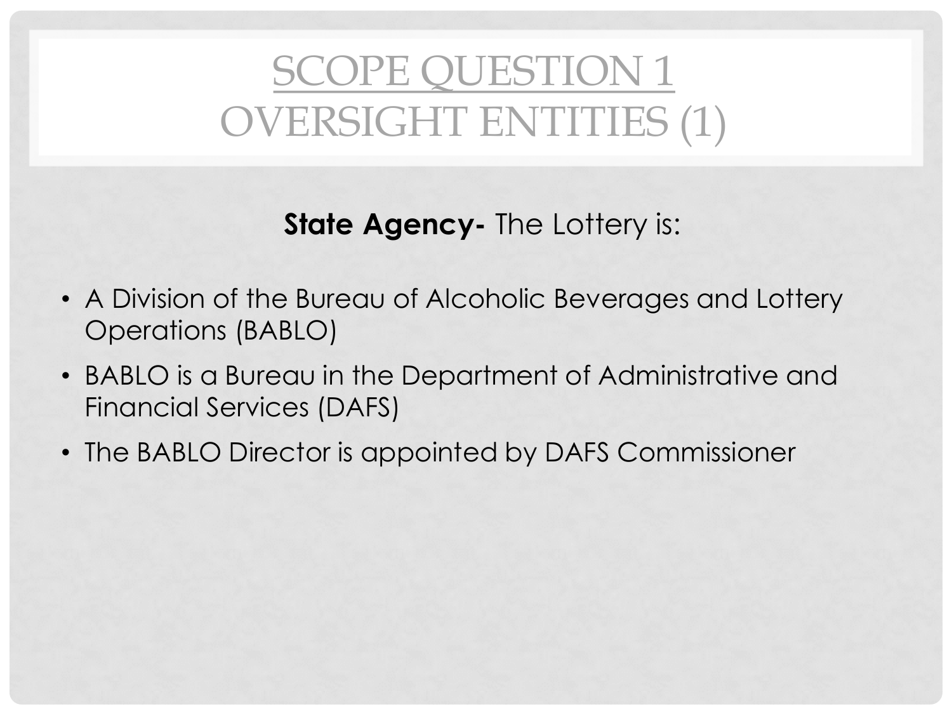## SCOPE QUESTION 1 OVERSIGHT ENTITIES (1)

**State Agency-** The Lottery is:

- A Division of the Bureau of Alcoholic Beverages and Lottery Operations (BABLO)
- BABLO is a Bureau in the Department of Administrative and Financial Services (DAFS)
- The BABLO Director is appointed by DAFS Commissioner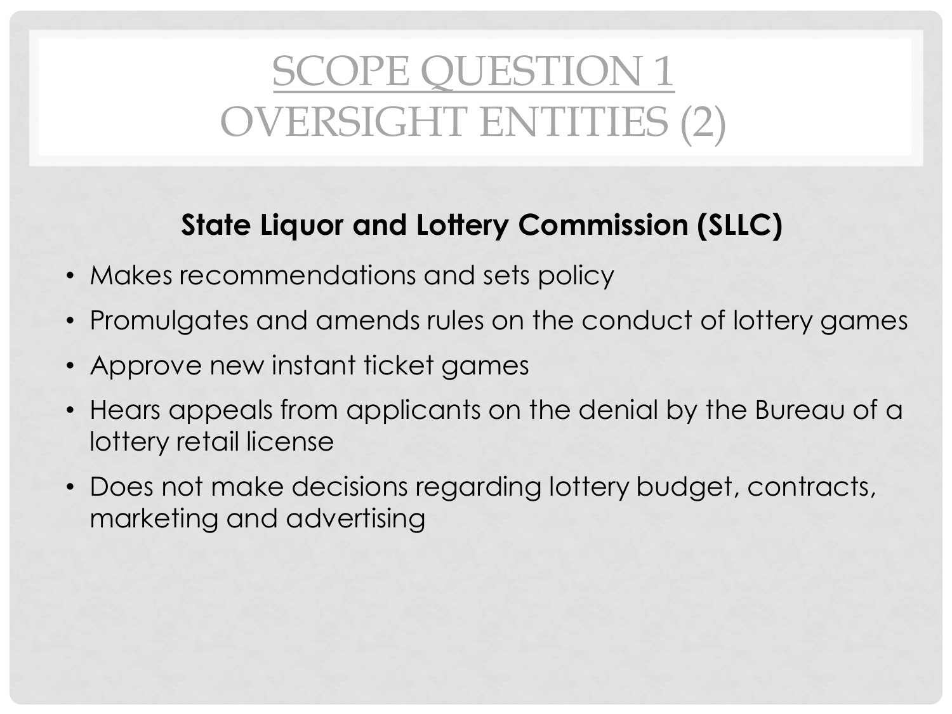## SCOPE QUESTION 1 OVERSIGHT ENTITIES (2)

### **State Liquor and Lottery Commission (SLLC)**

- Makes recommendations and sets policy
- Promulgates and amends rules on the conduct of lottery games
- Approve new instant ticket games
- Hears appeals from applicants on the denial by the Bureau of a lottery retail license
- Does not make decisions regarding lottery budget, contracts, marketing and advertising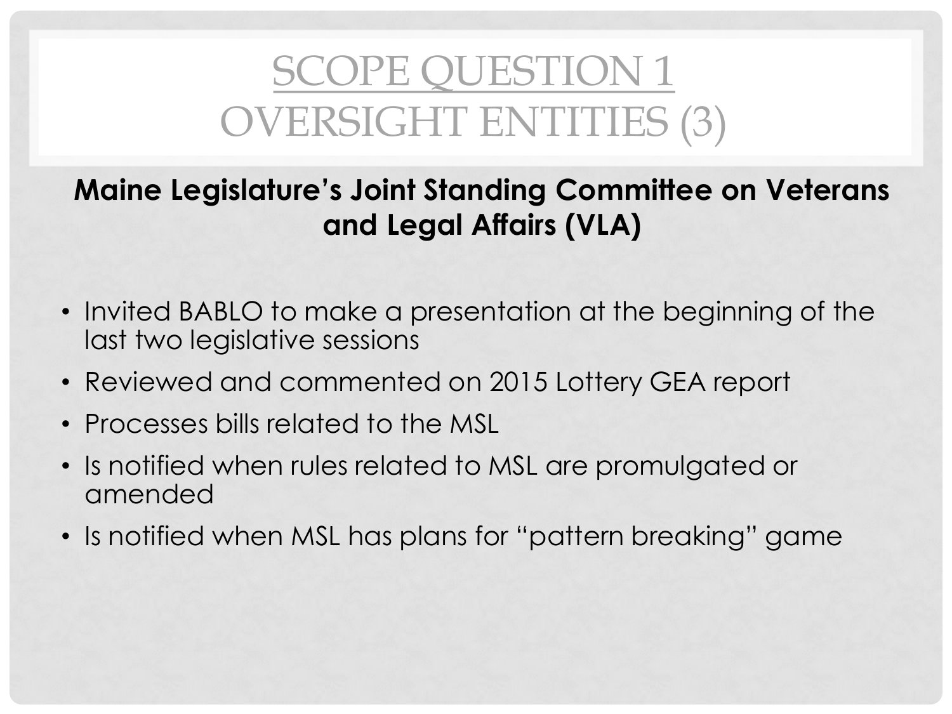## SCOPE QUESTION 1 OVERSIGHT ENTITIES (3)

### **Maine Legislature's Joint Standing Committee on Veterans and Legal Affairs (VLA)**

- Invited BABLO to make a presentation at the beginning of the last two legislative sessions
- Reviewed and commented on 2015 Lottery GEA report
- Processes bills related to the MSL
- Is notified when rules related to MSL are promulgated or amended
- Is notified when MSL has plans for "pattern breaking" game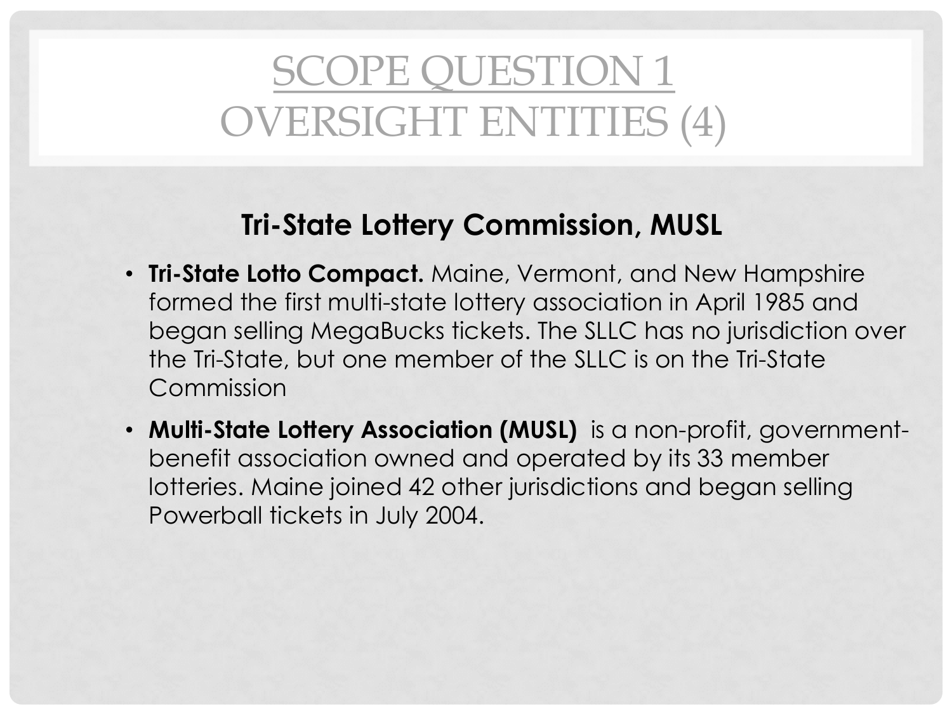## SCOPE QUESTION 1 OVERSIGHT ENTITIES (4)

### **Tri-State Lottery Commission, MUSL**

- **Tri-State Lotto Compact.** Maine, Vermont, and New Hampshire formed the first multi-state lottery association in April 1985 and began selling MegaBucks tickets. The SLLC has no jurisdiction over the Tri-State, but one member of the SLLC is on the Tri-State Commission
- **Multi-State Lottery Association (MUSL)** is a non-profit, governmentbenefit association owned and operated by its 33 member lotteries. Maine joined 42 other jurisdictions and began selling Powerball tickets in July 2004.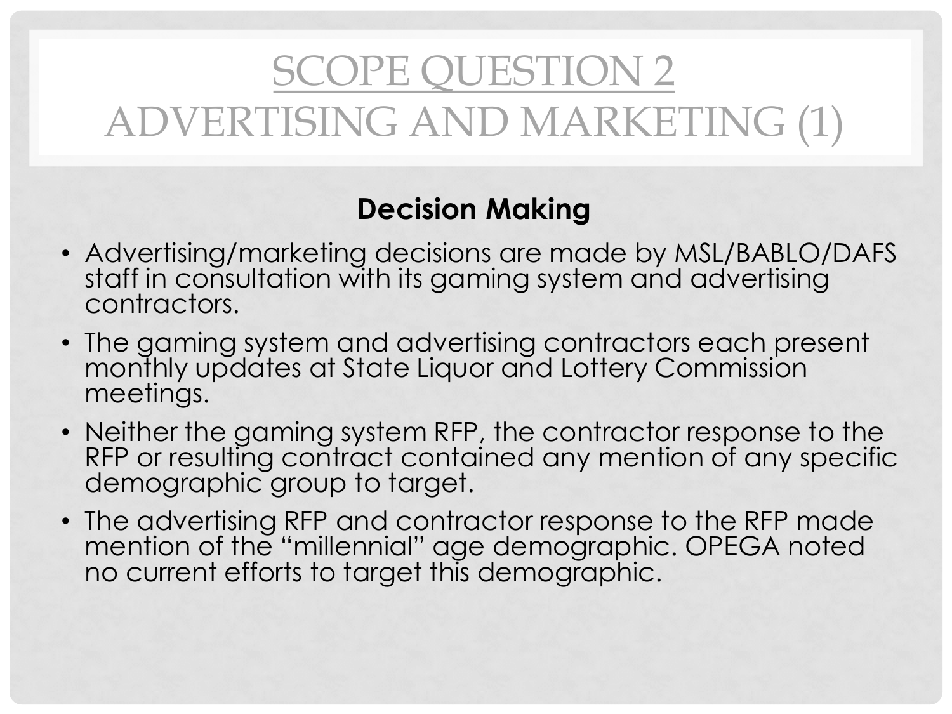## SCOPE QUESTION 2 ADVERTISING AND MARKETING (1)

### **Decision Making**

- Advertising/marketing decisions are made by MSL/BABLO/DAFS staff in consultation with its gaming system and advertising contractors.
- The gaming system and advertising contractors each present monthly updates at State Liquor and Lottery Commission meetings.
- Neither the gaming system RFP, the contractor response to the RFP or resulting contract contained any mention of any specific demographic group to target.
- The advertising RFP and contractor response to the RFP made mention of the "millennial" age demographic. OPEGA noted no current efforts to target this demographic.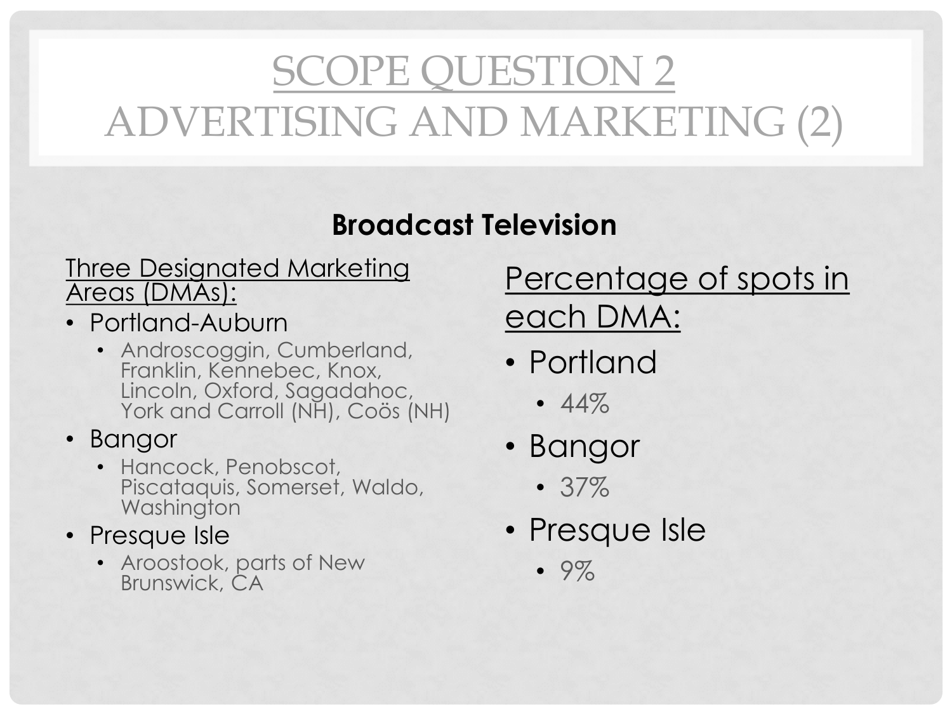## SCOPE QUESTION 2 ADVERTISING AND MARKETING (2)

### **Broadcast Television**

### Three Designated Marketing Areas (DMAs):

- Portland-Auburn
	- Androscoggin, Cumberland, Franklin, Kennebec, Knox, Lincoln, Oxford, Sagadahoc, York and Carroll (NH), Coös (NH)

• Bangor

- Hancock, Penobscot, Piscataquis, Somerset, Waldo, **Washington**
- Presque Isle
	- Aroostook, parts of New Brunswick, CA

Percentage of spots in each DMA:

- Portland
	- 44%
- Bangor
	- 37%
- Presque Isle
	- 9%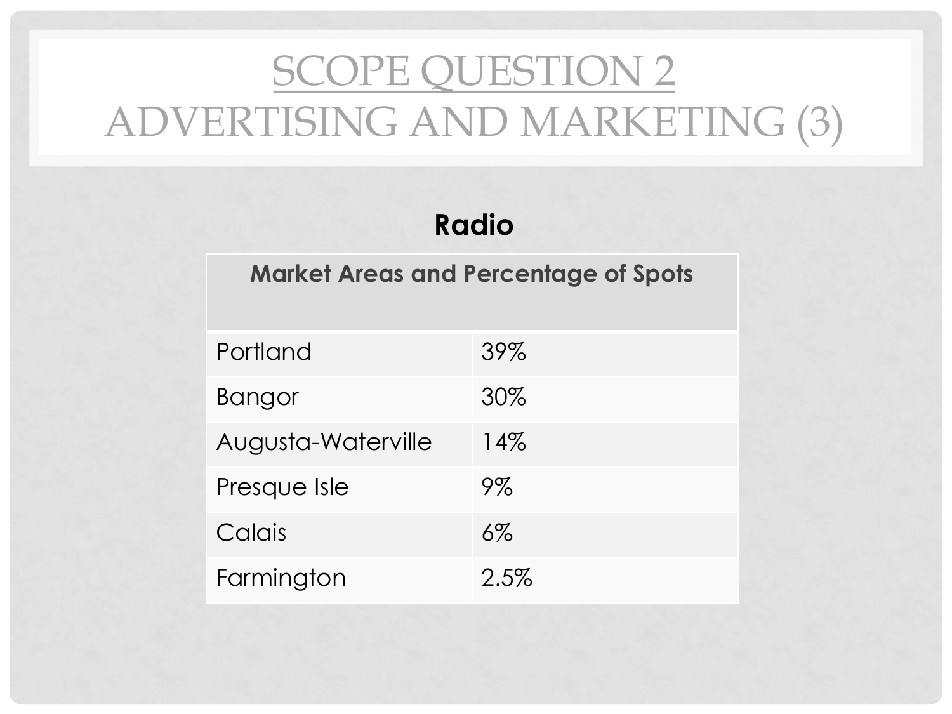## SCOPE QUESTION 2 ADVERTISING AND MARKETING (3)

### **Radio**

### **Market Areas and Percentage of Spots**

| Portland           | 39%   |
|--------------------|-------|
| <b>Bangor</b>      | 30%   |
| Augusta-Waterville | 14%   |
| Presque Isle       | 9%    |
| Calais             | $6\%$ |
| Farmington         | 2.5%  |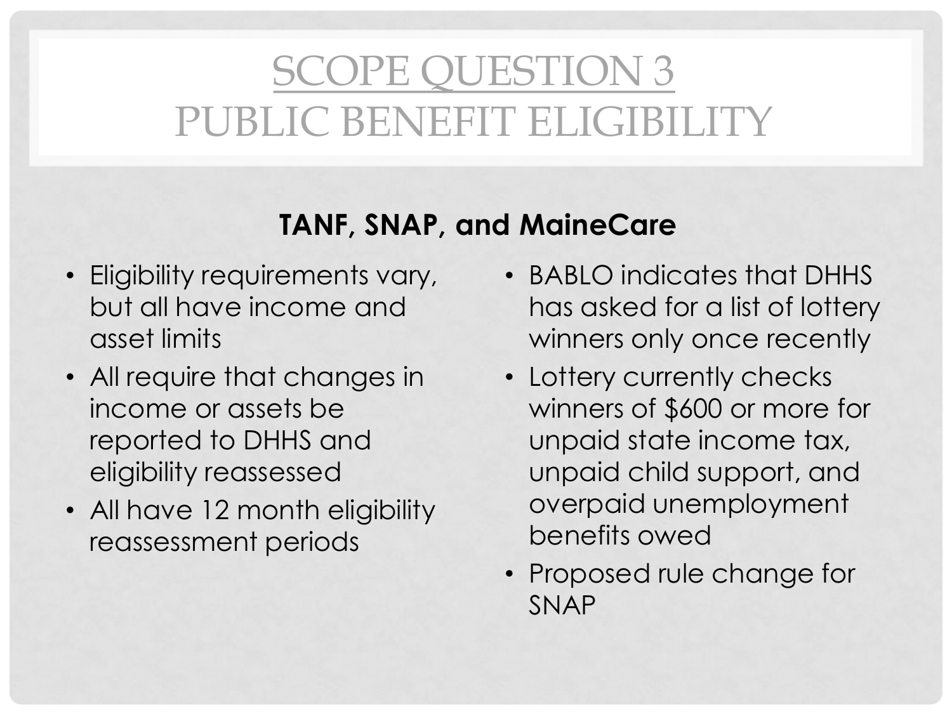### SCOPE QUESTION 3 PUBLIC BENEFIT ELIGIBILITY

### **TANF, SNAP, and MaineCare**

- Eligibility requirements vary, but all have income and asset limits
- All require that changes in income or assets be reported to DHHS and eligibility reassessed
- All have 12 month eligibility reassessment periods
- BABLO indicates that DHHS has asked for a list of lottery winners only once recently
- Lottery currently checks winners of \$600 or more for unpaid state income tax, unpaid child support, and overpaid unemployment benefits owed
- Proposed rule change for SNAP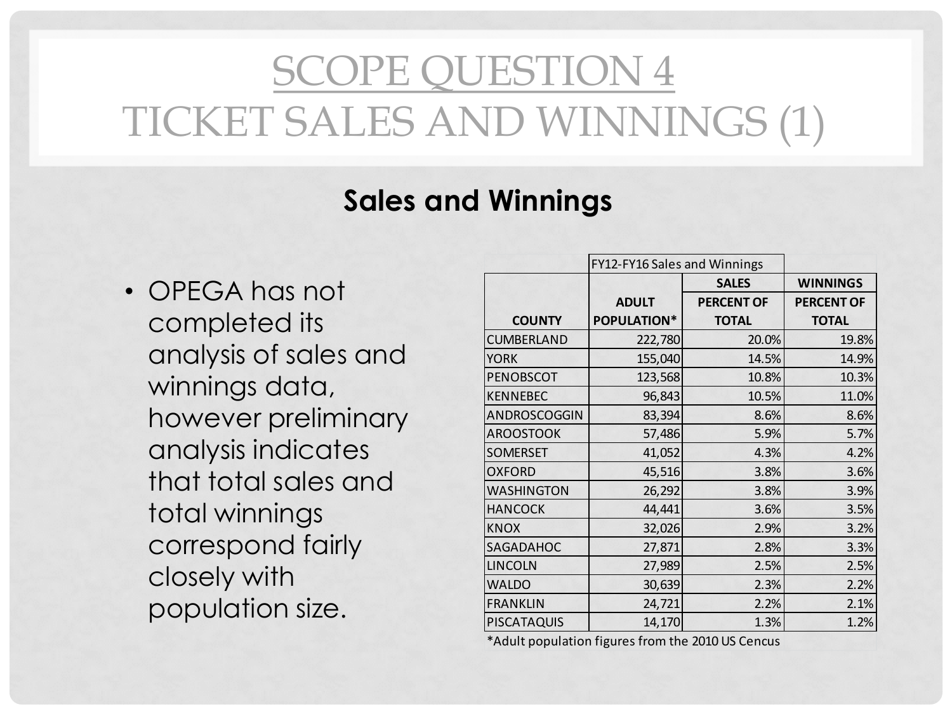## SCOPE QUESTION 4 TICKET SALES AND WINNINGS (1)

### **Sales and Winnings**

• OPEGA has not completed its analysis of sales and winnings data, however preliminary analysis indicates that total sales and total winnings correspond fairly closely with

|                       | FY12-FY16 Sales and Winnings |              |                   |                   |
|-----------------------|------------------------------|--------------|-------------------|-------------------|
| OPEGA has not         |                              |              | <b>SALES</b>      | <b>WINNINGS</b>   |
|                       |                              | <b>ADULT</b> | <b>PERCENT OF</b> | <b>PERCENT OF</b> |
| completed its         | <b>COUNTY</b>                | POPULATION*  | <b>TOTAL</b>      | <b>TOTAL</b>      |
|                       | CUMBERLAND                   | 222,780      | 20.0%             | 19.8%             |
| analysis of sales and | <b>YORK</b>                  | 155,040      | 14.5%             | 14.9%             |
| winnings data,        | PENOBSCOT                    | 123,568      | 10.8%             | 10.3%             |
|                       | <b>KENNEBEC</b>              | 96,843       | 10.5%             | 11.0%             |
| however preliminary   | ANDROSCOGGIN                 | 83,394       | 8.6%              | 8.6%              |
|                       | <b>AROOSTOOK</b>             | 57,486       | 5.9%              | 5.7%              |
| analysis indicates    | SOMERSET                     | 41,052       | 4.3%              | 4.2%              |
| that total sales and  | <b>OXFORD</b>                | 45,516       | 3.8%              | 3.6%              |
|                       | <b>WASHINGTON</b>            | 26,292       | 3.8%              | 3.9%              |
| total winnings        | <b>HANCOCK</b>               | 44,441       | 3.6%              | 3.5%              |
|                       | <b>KNOX</b>                  | 32,026       | 2.9%              | 3.2%              |
| correspond fairly     | SAGADAHOC                    | 27,871       | 2.8%              | 3.3%              |
| closely with          | <b>LINCOLN</b>               | 27,989       | 2.5%              | 2.5%              |
|                       | <b>WALDO</b>                 | 30,639       | 2.3%              | 2.2%              |
| population size.      | <b>FRANKLIN</b>              | 24,721       | 2.2%              | 2.1%              |
|                       | PISCATAQUIS                  | 14,170       | 1.3%              | 1.2%              |

\*Adult population figures from the 2010 US Cencus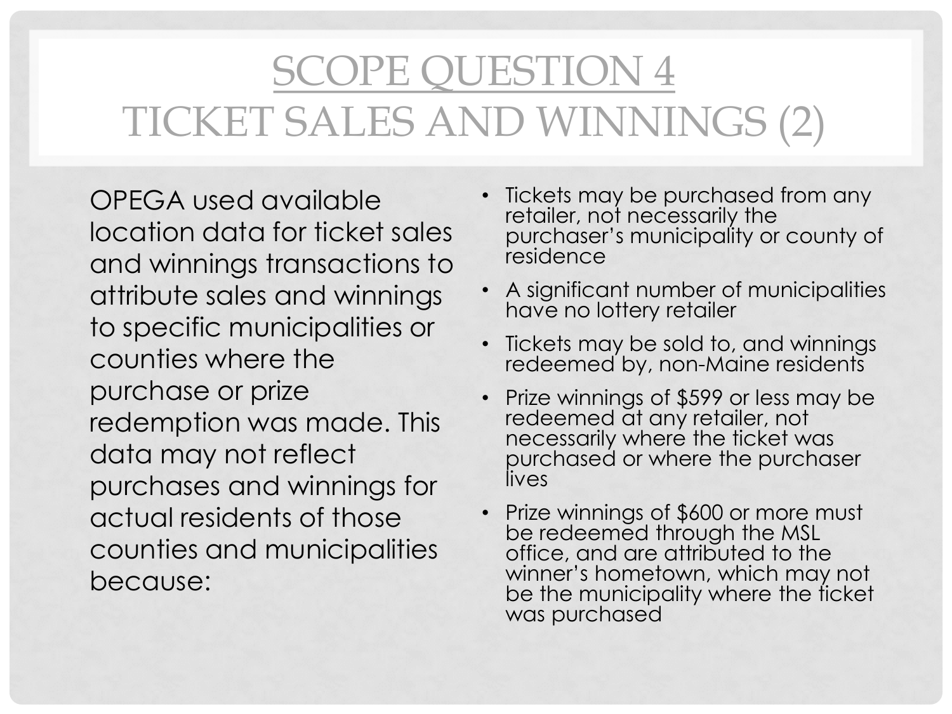## SCOPE QUESTION 4 TICKET SALES AND WINNINGS (2)

• OPEGA used available location data for ticket sales and winnings transactions to attribute sales and winnings to specific municipalities or counties where the purchase or prize redemption was made. This data may not reflect purchases and winnings for actual residents of those counties and municipalities because:

- Tickets may be purchased from any retailer, not necessarily the purchaser's municipality or county of residence
- A significant number of municipalities have no lottery retailer
- Tickets may be sold to, and winnings redeemed by, non-Maine residents
- Prize winnings of \$599 or less may be redeemed at any retailer, not necessarily where the ticket was purchased or where the purchaser lives
- Prize winnings of \$600 or more must be redeemed through the MSL office, and are attributed to the winner's hometown, which may not be the municipality where the ficket was purchased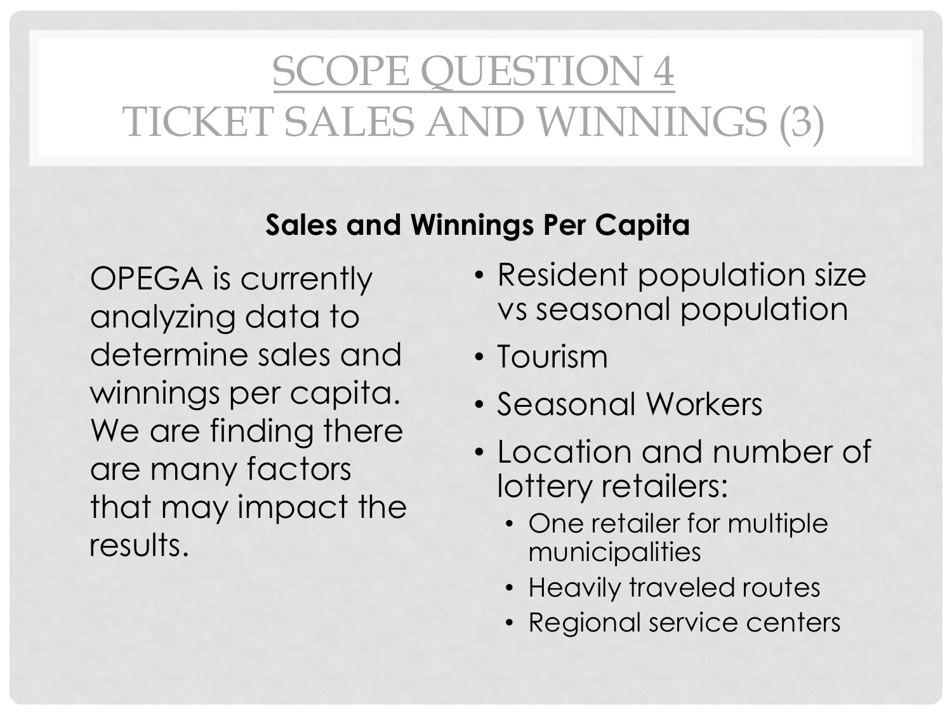## SCOPE QUESTION 4 TICKET SALES AND WINNINGS (3)

### **Sales and Winnings Per Capita**

• OPEGA is currently analyzing data to determine sales and winnings per capita. We are finding there are many factors that may impact the results.

- Resident population size vs seasonal population
- Tourism
- Seasonal Workers
- Location and number of lottery retailers:
	- One retailer for multiple municipalities
	- Heavily traveled routes
	- Regional service centers